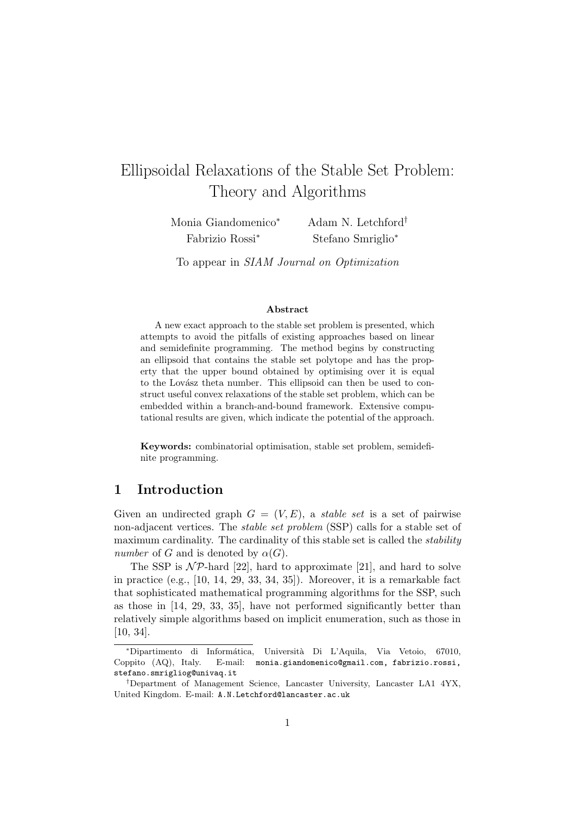# Ellipsoidal Relaxations of the Stable Set Problem: Theory and Algorithms

Monia Giandomenico<sup>∗</sup> Fabrizio Rossi<sup>∗</sup>

Adam N. Letchford† Stefano Smriglio<sup>∗</sup>

To appear in SIAM Journal on Optimization

#### Abstract

A new exact approach to the stable set problem is presented, which attempts to avoid the pitfalls of existing approaches based on linear and semidefinite programming. The method begins by constructing an ellipsoid that contains the stable set polytope and has the property that the upper bound obtained by optimising over it is equal to the Lovász theta number. This ellipsoid can then be used to construct useful convex relaxations of the stable set problem, which can be embedded within a branch-and-bound framework. Extensive computational results are given, which indicate the potential of the approach.

Keywords: combinatorial optimisation, stable set problem, semidefinite programming.

# 1 Introduction

Given an undirected graph  $G = (V, E)$ , a *stable set* is a set of pairwise non-adjacent vertices. The stable set problem (SSP) calls for a stable set of maximum cardinality. The cardinality of this stable set is called the *stability* number of G and is denoted by  $\alpha(G)$ .

The SSP is  $N\mathcal{P}$ -hard [22], hard to approximate [21], and hard to solve in practice (e.g., [10, 14, 29, 33, 34, 35]). Moreover, it is a remarkable fact that sophisticated mathematical programming algorithms for the SSP, such as those in [14, 29, 33, 35], have not performed significantly better than relatively simple algorithms based on implicit enumeration, such as those in [10, 34].

<sup>∗</sup>Dipartimento di Inform´atica, Universit`a Di L'Aquila, Via Vetoio, 67010, Coppito (AQ), Italy. E-mail: monia.giandomenico@gmail.com, fabrizio.rossi, stefano.smrigliog@univaq.it

<sup>†</sup>Department of Management Science, Lancaster University, Lancaster LA1 4YX, United Kingdom. E-mail: A.N.Letchford@lancaster.ac.uk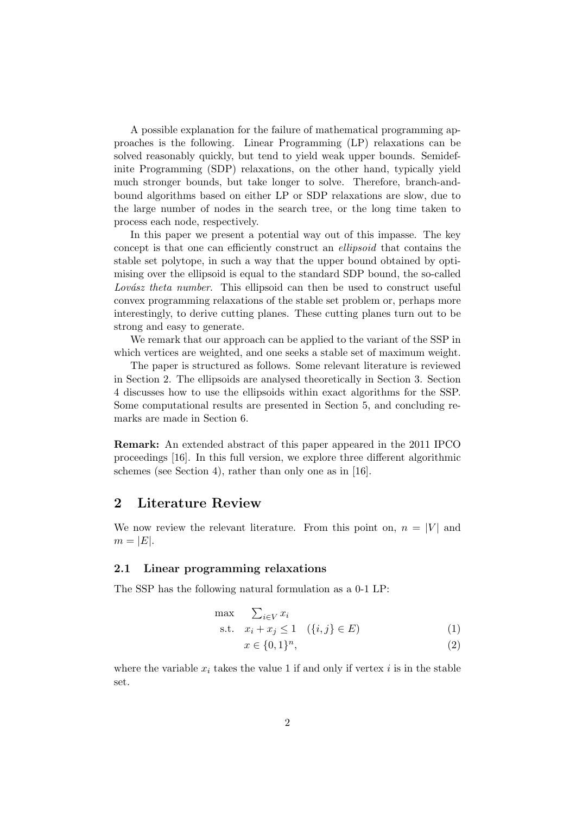A possible explanation for the failure of mathematical programming approaches is the following. Linear Programming (LP) relaxations can be solved reasonably quickly, but tend to yield weak upper bounds. Semidefinite Programming (SDP) relaxations, on the other hand, typically yield much stronger bounds, but take longer to solve. Therefore, branch-andbound algorithms based on either LP or SDP relaxations are slow, due to the large number of nodes in the search tree, or the long time taken to process each node, respectively.

In this paper we present a potential way out of this impasse. The key concept is that one can efficiently construct an ellipsoid that contains the stable set polytope, in such a way that the upper bound obtained by optimising over the ellipsoid is equal to the standard SDP bound, the so-called Lovász theta number. This ellipsoid can then be used to construct useful convex programming relaxations of the stable set problem or, perhaps more interestingly, to derive cutting planes. These cutting planes turn out to be strong and easy to generate.

We remark that our approach can be applied to the variant of the SSP in which vertices are weighted, and one seeks a stable set of maximum weight.

The paper is structured as follows. Some relevant literature is reviewed in Section 2. The ellipsoids are analysed theoretically in Section 3. Section 4 discusses how to use the ellipsoids within exact algorithms for the SSP. Some computational results are presented in Section 5, and concluding remarks are made in Section 6.

Remark: An extended abstract of this paper appeared in the 2011 IPCO proceedings [16]. In this full version, we explore three different algorithmic schemes (see Section 4), rather than only one as in [16].

# 2 Literature Review

We now review the relevant literature. From this point on,  $n = |V|$  and  $m = |E|.$ 

## 2.1 Linear programming relaxations

The SSP has the following natural formulation as a 0-1 LP:

$$
\max \sum_{i \in V} x_i
$$
  
s.t.  $x_i + x_j \le 1 \quad (\{i, j\} \in E)$  (1)

$$
x \in \{0,1\}^n,\tag{2}
$$

where the variable  $x_i$  takes the value 1 if and only if vertex i is in the stable set.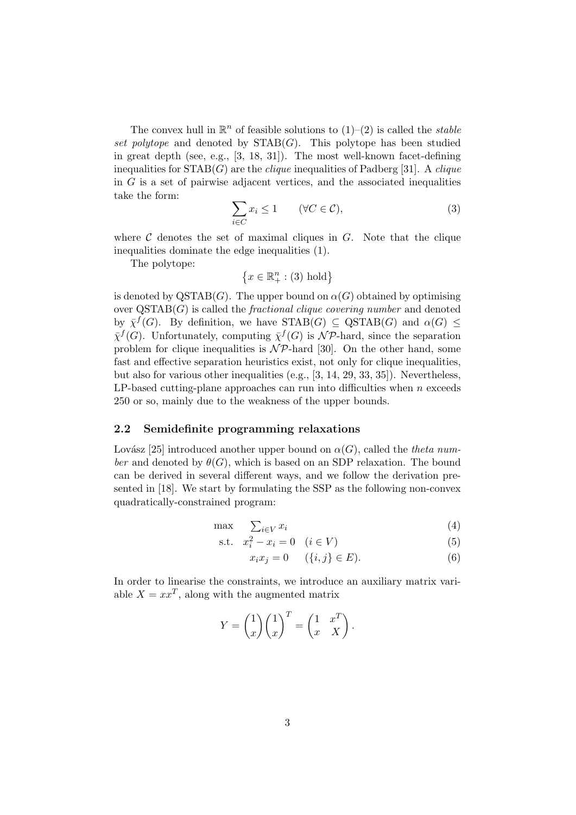The convex hull in  $\mathbb{R}^n$  of feasible solutions to  $(1)-(2)$  is called the *stable* set polytope and denoted by  $STAB(G)$ . This polytope has been studied in great depth (see, e.g., [3, 18, 31]). The most well-known facet-defining inequalities for  $STAB(G)$  are the *clique* inequalities of Padberg [31]. A *clique* in  $G$  is a set of pairwise adjacent vertices, and the associated inequalities take the form:

$$
\sum_{i \in C} x_i \le 1 \qquad (\forall C \in \mathcal{C}), \tag{3}
$$

where  $\mathcal C$  denotes the set of maximal cliques in  $G$ . Note that the clique inequalities dominate the edge inequalities (1).

The polytope:

$$
\left\{x \in \mathbb{R}^n_+ : (3) \text{ hold}\right\}
$$

is denoted by  $\text{QSTAB}(G)$ . The upper bound on  $\alpha(G)$  obtained by optimising over  $\text{QSTAB}(G)$  is called the *fractional clique covering number* and denoted by  $\bar{\chi}^f(G)$ . By definition, we have  $STAB(G) \subseteq \text{QSTAB}(G)$  and  $\alpha(G) \leq$  $\bar{\chi}^f(G)$ . Unfortunately, computing  $\bar{\chi}^f(G)$  is  $\mathcal{NP}$ -hard, since the separation problem for clique inequalities is  $N\mathcal{P}$ -hard [30]. On the other hand, some fast and effective separation heuristics exist, not only for clique inequalities, but also for various other inequalities (e.g., [3, 14, 29, 33, 35]). Nevertheless, LP-based cutting-plane approaches can run into difficulties when  $n$  exceeds 250 or so, mainly due to the weakness of the upper bounds.

## 2.2 Semidefinite programming relaxations

Lovász [25] introduced another upper bound on  $\alpha(G)$ , called the theta number and denoted by  $\theta(G)$ , which is based on an SDP relaxation. The bound can be derived in several different ways, and we follow the derivation presented in [18]. We start by formulating the SSP as the following non-convex quadratically-constrained program:

$$
\max \quad \sum_{i \in V} x_i \tag{4}
$$

s.t. 
$$
x_i^2 - x_i = 0
$$
  $(i \in V)$  (5)

$$
x_i x_j = 0 \qquad (\{i, j\} \in E). \tag{6}
$$

In order to linearise the constraints, we introduce an auxiliary matrix variable  $X = xx^T$ , along with the augmented matrix

$$
Y = \begin{pmatrix} 1 \\ x \end{pmatrix} \begin{pmatrix} 1 \\ x \end{pmatrix}^T = \begin{pmatrix} 1 & x^T \\ x & X \end{pmatrix}.
$$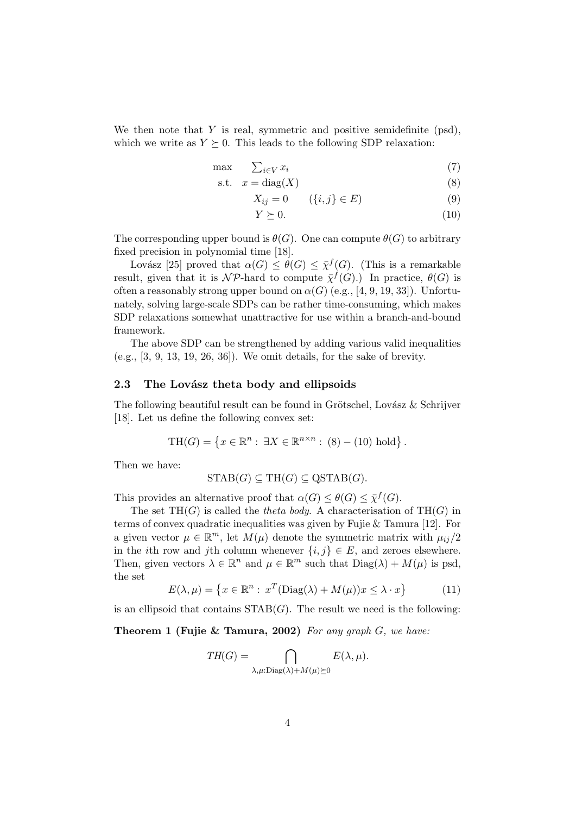We then note that Y is real, symmetric and positive semidefinite  $(psd)$ , which we write as  $Y \succeq 0$ . This leads to the following SDP relaxation:

$$
\max \qquad \sum_{i \in V} x_i \tag{7}
$$

$$
s.t. \t x = diag(X) \t(8)
$$

 $X_{ij} = 0 \t\t (i, j) \in E$  (9)

$$
Y \succeq 0. \tag{10}
$$

The corresponding upper bound is  $\theta(G)$ . One can compute  $\theta(G)$  to arbitrary fixed precision in polynomial time [18].

Lovász [25] proved that  $\alpha(G) \leq \theta(G) \leq \overline{\chi}^f(G)$ . (This is a remarkable result, given that it is  $\mathcal{NP}$ -hard to compute  $\bar{\chi}^f(G)$ .) In practice,  $\theta(G)$  is often a reasonably strong upper bound on  $\alpha(G)$  (e.g., [4, 9, 19, 33]). Unfortunately, solving large-scale SDPs can be rather time-consuming, which makes SDP relaxations somewhat unattractive for use within a branch-and-bound framework.

The above SDP can be strengthened by adding various valid inequalities (e.g., [3, 9, 13, 19, 26, 36]). We omit details, for the sake of brevity.

## 2.3 The Lovasz theta body and ellipsoids

The following beautiful result can be found in Grötschel, Lovász  $&$  Schrijver [18]. Let us define the following convex set:

$$
\mathrm{TH}(G) = \left\{ x \in \mathbb{R}^n : \exists X \in \mathbb{R}^{n \times n} : (8) - (10) \text{ hold} \right\}.
$$

Then we have:

$$
STAB(G) \subseteq TH(G) \subseteq QSTAB(G).
$$

This provides an alternative proof that  $\alpha(G) \leq \theta(G) \leq \overline{\chi}^f(G)$ .

The set  $TH(G)$  is called the *theta body*. A characterisation of  $TH(G)$  in terms of convex quadratic inequalities was given by Fujie & Tamura [12]. For a given vector  $\mu \in \mathbb{R}^m$ , let  $M(\mu)$  denote the symmetric matrix with  $\mu_{ij}/2$ in the *i*th row and *j*th column whenever  $\{i, j\} \in E$ , and zeroes elsewhere. Then, given vectors  $\lambda \in \mathbb{R}^n$  and  $\mu \in \mathbb{R}^m$  such that  $Diag(\lambda) + M(\mu)$  is psd, the set

$$
E(\lambda, \mu) = \left\{ x \in \mathbb{R}^n : x^T (\text{Diag}(\lambda) + M(\mu)) x \le \lambda \cdot x \right\}
$$
 (11)

is an ellipsoid that contains  $STAB(G)$ . The result we need is the following:

Theorem 1 (Fujie & Tamura, 2002) For any graph  $G$ , we have:

$$
TH(G) = \bigcap_{\lambda,\mu:\text{Diag}(\lambda)+M(\mu)\succeq 0} E(\lambda,\mu).
$$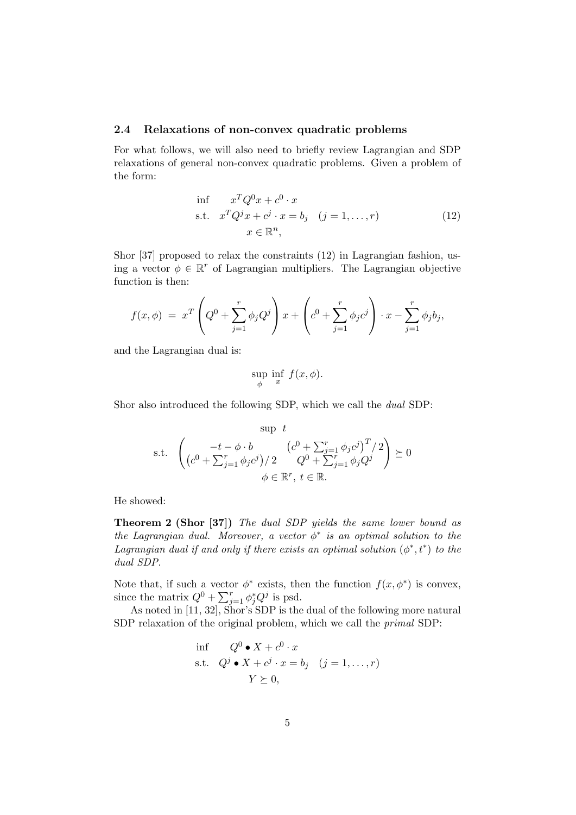## 2.4 Relaxations of non-convex quadratic problems

For what follows, we will also need to briefly review Lagrangian and SDP relaxations of general non-convex quadratic problems. Given a problem of the form:

$$
\begin{aligned}\n\inf \quad & x^T Q^0 x + c^0 \cdot x \\
\text{s.t.} \quad & x^T Q^j x + c^j \cdot x = b_j \quad (j = 1, \dots, r) \\
& x \in \mathbb{R}^n,\n\end{aligned} \tag{12}
$$

Shor [37] proposed to relax the constraints (12) in Lagrangian fashion, using a vector  $\phi \in \mathbb{R}^r$  of Lagrangian multipliers. The Lagrangian objective function is then:

$$
f(x,\phi) = x^T \left( Q^0 + \sum_{j=1}^r \phi_j Q^j \right) x + \left( c^0 + \sum_{j=1}^r \phi_j c^j \right) \cdot x - \sum_{j=1}^r \phi_j b_j,
$$

and the Lagrangian dual is:

$$
\sup_{\phi} \inf_{x} f(x, \phi).
$$

Shor also introduced the following SDP, which we call the dual SDP:

$$
\text{sup } t
$$
\n
$$
\text{s.t. } \left( \frac{-t - \phi \cdot b}{(c^0 + \sum_{j=1}^r \phi_j c^j)^T / 2} \right) \succeq 0
$$
\n
$$
\phi \in \mathbb{R}^r, \ t \in \mathbb{R}.
$$

He showed:

Theorem 2 (Shor [37]) The dual SDP yields the same lower bound as the Lagrangian dual. Moreover, a vector  $\phi^*$  is an optimal solution to the Lagrangian dual if and only if there exists an optimal solution  $(\phi^*, t^*)$  to the dual SDP.

Note that, if such a vector  $\phi^*$  exists, then the function  $f(x, \phi^*)$  is convex, since the matrix  $Q^0 + \sum_{j=1}^r \phi_j^* Q^j$  is psd.

As noted in [11, 32], Shor's SDP is the dual of the following more natural SDP relaxation of the original problem, which we call the primal SDP:

$$
\begin{aligned}\n\inf \quad & Q^0 \bullet X + c^0 \cdot x \\
\text{s.t.} \quad & Q^j \bullet X + c^j \cdot x = b_j \quad (j = 1, \dots, r) \\
& Y \succeq 0,\n\end{aligned}
$$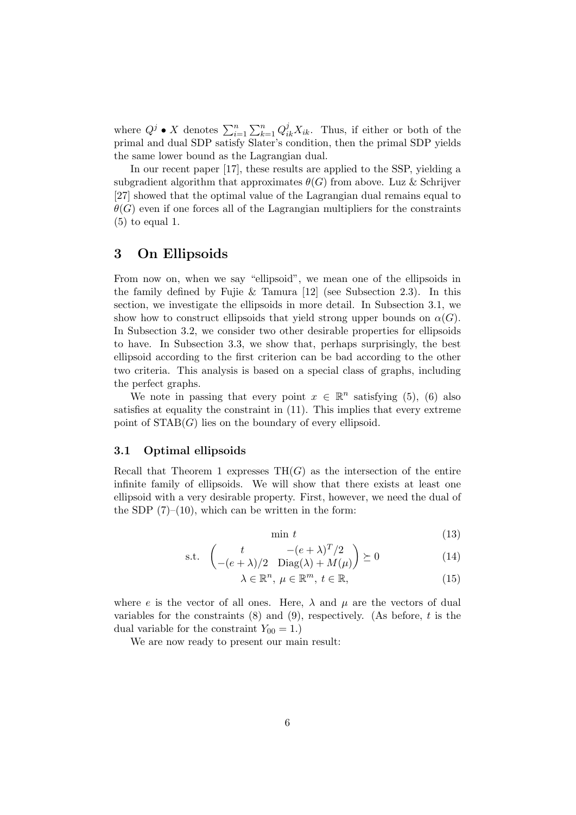where  $Q^j \bullet X$  denotes  $\sum_{i=1}^n \sum_{k=1}^n Q_{ik}^j X_{ik}$ . Thus, if either or both of the primal and dual SDP satisfy Slater's condition, then the primal SDP yields the same lower bound as the Lagrangian dual.

In our recent paper [17], these results are applied to the SSP, yielding a subgradient algorithm that approximates  $\theta(G)$  from above. Luz & Schrijver [27] showed that the optimal value of the Lagrangian dual remains equal to  $\theta(G)$  even if one forces all of the Lagrangian multipliers for the constraints (5) to equal 1.

# 3 On Ellipsoids

From now on, when we say "ellipsoid", we mean one of the ellipsoids in the family defined by Fujie & Tamura [12] (see Subsection 2.3). In this section, we investigate the ellipsoids in more detail. In Subsection 3.1, we show how to construct ellipsoids that yield strong upper bounds on  $\alpha(G)$ . In Subsection 3.2, we consider two other desirable properties for ellipsoids to have. In Subsection 3.3, we show that, perhaps surprisingly, the best ellipsoid according to the first criterion can be bad according to the other two criteria. This analysis is based on a special class of graphs, including the perfect graphs.

We note in passing that every point  $x \in \mathbb{R}^n$  satisfying (5), (6) also satisfies at equality the constraint in (11). This implies that every extreme point of  $STAB(G)$  lies on the boundary of every ellipsoid.

## 3.1 Optimal ellipsoids

Recall that Theorem 1 expresses  $TH(G)$  as the intersection of the entire infinite family of ellipsoids. We will show that there exists at least one ellipsoid with a very desirable property. First, however, we need the dual of the SDP  $(7)-(10)$ , which can be written in the form:

min  $t$  (13)

$$
\text{s.t.} \quad \begin{pmatrix} t & -(e+\lambda)^T/2\\ -(e+\lambda)/2 & \text{Diag}(\lambda) + M(\mu) \end{pmatrix} \succeq 0 \tag{14}
$$

$$
\lambda \in \mathbb{R}^n, \ \mu \in \mathbb{R}^m, \ t \in \mathbb{R}, \tag{15}
$$

where e is the vector of all ones. Here,  $\lambda$  and  $\mu$  are the vectors of dual variables for the constraints  $(8)$  and  $(9)$ , respectively. (As before, t is the dual variable for the constraint  $Y_{00} = 1$ .)

We are now ready to present our main result: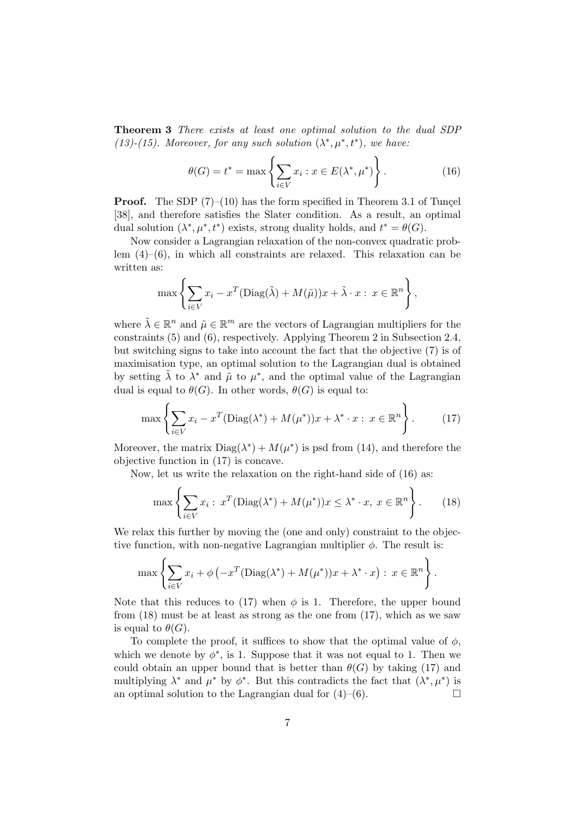Theorem 3 There exists at least one optimal solution to the dual SDP (13)-(15). Moreover, for any such solution  $(\lambda^*, \mu^*, t^*)$ , we have:

$$
\theta(G) = t^* = \max\left\{\sum_{i \in V} x_i : x \in E(\lambda^*, \mu^*)\right\}.
$$
\n(16)

**Proof.** The SDP  $(7)–(10)$  has the form specified in Theorem 3.1 of Tuncel [38], and therefore satisfies the Slater condition. As a result, an optimal dual solution  $(\lambda^*, \mu^*, t^*)$  exists, strong duality holds, and  $t^* = \theta(G)$ .

Now consider a Lagrangian relaxation of the non-convex quadratic problem (4)–(6), in which all constraints are relaxed. This relaxation can be written as:

$$
\max \left\{ \sum_{i \in V} x_i - x^T (\text{Diag}(\tilde{\lambda}) + M(\tilde{\mu})) x + \tilde{\lambda} \cdot x : x \in \mathbb{R}^n \right\},\
$$

where  $\tilde{\lambda} \in \mathbb{R}^n$  and  $\tilde{\mu} \in \mathbb{R}^m$  are the vectors of Lagrangian multipliers for the constraints (5) and (6), respectively. Applying Theorem 2 in Subsection 2.4, but switching signs to take into account the fact that the objective (7) is of maximisation type, an optimal solution to the Lagrangian dual is obtained by setting  $\tilde{\lambda}$  to  $\lambda^*$  and  $\tilde{\mu}$  to  $\mu^*$ , and the optimal value of the Lagrangian dual is equal to  $\theta(G)$ . In other words,  $\theta(G)$  is equal to:

$$
\max\left\{\sum_{i\in V} x_i - x^T (\text{Diag}(\lambda^*) + M(\mu^*)) x + \lambda^* \cdot x : x \in \mathbb{R}^n\right\}.
$$
 (17)

Moreover, the matrix  $Diag(\lambda^*) + M(\mu^*)$  is psd from (14), and therefore the objective function in (17) is concave.

Now, let us write the relaxation on the right-hand side of (16) as:

$$
\max \left\{ \sum_{i \in V} x_i : x^T (\text{Diag}(\lambda^*) + M(\mu^*)) x \le \lambda^* \cdot x, \ x \in \mathbb{R}^n \right\}.
$$
 (18)

We relax this further by moving the (one and only) constraint to the objective function, with non-negative Lagrangian multiplier  $\phi$ . The result is:

$$
\max \left\{ \sum_{i \in V} x_i + \phi \left( -x^T (\text{Diag}(\lambda^*) + M(\mu^*)) x + \lambda^* \cdot x \right) : x \in \mathbb{R}^n \right\}.
$$

Note that this reduces to (17) when  $\phi$  is 1. Therefore, the upper bound from (18) must be at least as strong as the one from (17), which as we saw is equal to  $\theta(G)$ .

To complete the proof, it suffices to show that the optimal value of  $\phi$ , which we denote by  $\phi^*$ , is 1. Suppose that it was not equal to 1. Then we could obtain an upper bound that is better than  $\theta(G)$  by taking (17) and multiplying  $\lambda^*$  and  $\mu^*$  by  $\phi^*$ . But this contradicts the fact that  $(\lambda^*, \mu^*)$  is an optimal solution to the Lagrangian dual for  $(4)$ – $(6)$ .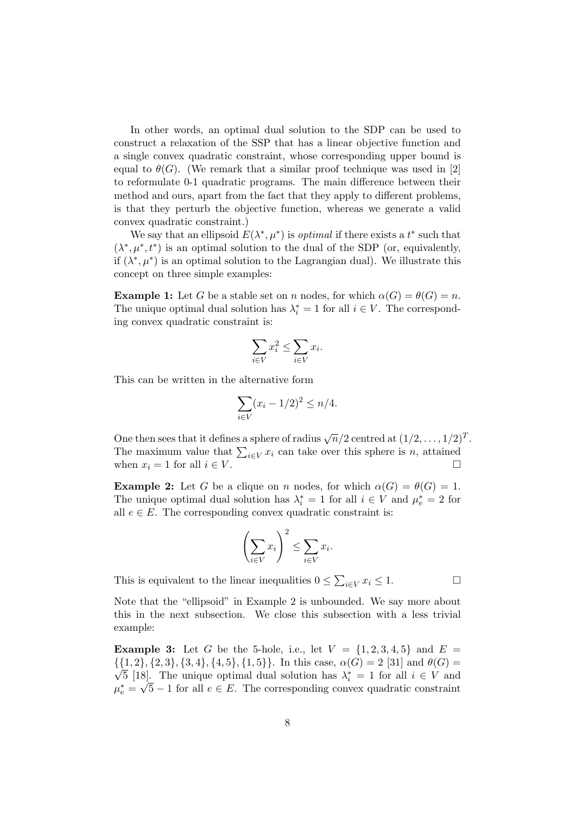In other words, an optimal dual solution to the SDP can be used to construct a relaxation of the SSP that has a linear objective function and a single convex quadratic constraint, whose corresponding upper bound is equal to  $\theta(G)$ . (We remark that a similar proof technique was used in [2] to reformulate 0-1 quadratic programs. The main difference between their method and ours, apart from the fact that they apply to different problems, is that they perturb the objective function, whereas we generate a valid convex quadratic constraint.)

We say that an ellipsoid  $E(\lambda^*, \mu^*)$  is *optimal* if there exists a  $t^*$  such that  $(\lambda^*, \mu^*, t^*)$  is an optimal solution to the dual of the SDP (or, equivalently, if  $(\lambda^*, \mu^*)$  is an optimal solution to the Lagrangian dual). We illustrate this concept on three simple examples:

**Example 1:** Let G be a stable set on n nodes, for which  $\alpha(G) = \theta(G) = n$ . The unique optimal dual solution has  $\lambda_i^* = 1$  for all  $i \in V$ . The corresponding convex quadratic constraint is:

$$
\sum_{i \in V} x_i^2 \le \sum_{i \in V} x_i.
$$

This can be written in the alternative form

$$
\sum_{i \in V} (x_i - 1/2)^2 \le n/4.
$$

One then sees that it defines a sphere of radius  $\sqrt{n}/2$  centred at  $(1/2,\ldots,1/2)^T$ . The maximum value that  $\sum_{i\in V} x_i$  can take over this sphere is n, attained when  $x_i = 1$  for all  $i \in V$ .

**Example 2:** Let G be a clique on n nodes, for which  $\alpha(G) = \theta(G) = 1$ . The unique optimal dual solution has  $\lambda_i^* = 1$  for all  $i \in V$  and  $\mu_e^* = 2$  for all  $e \in E$ . The corresponding convex quadratic constraint is:

$$
\left(\sum_{i\in V} x_i\right)^2 \le \sum_{i\in V} x_i.
$$

This is equivalent to the linear inequalities  $0 \le \sum_{i \in V} x_i \le 1$ .

Note that the "ellipsoid" in Example 2 is unbounded. We say more about this in the next subsection. We close this subsection with a less trivial example:

**Example 3:** Let G be the 5-hole, i.e., let  $V = \{1, 2, 3, 4, 5\}$  and  $E =$  $\{\{1,2\},\{2,3\},\{3,4\},\{4,5\},\{1,5\}\}\$ . In this case,  $\alpha(G) = 2$  [31] and  $\theta(G) =$  $\overline{5}$  [18]. The unique optimal dual solution has  $\lambda_i^* = 1$  for all  $i \in V$  and  $\mu_e^* = \sqrt{5} - 1$  for all  $e \in E$ . The corresponding convex quadratic constraint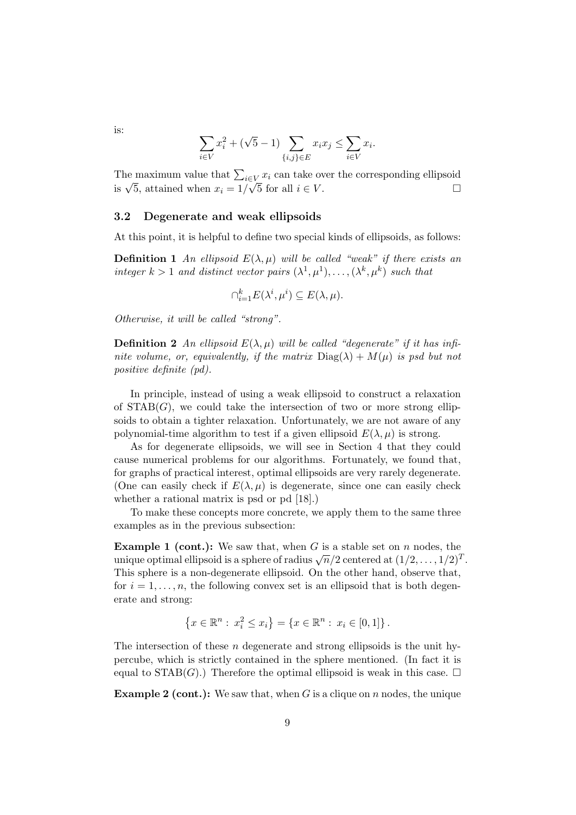$$
\sum_{i \in V} x_i^2 + (\sqrt{5} - 1) \sum_{\{i,j\} \in E} x_i x_j \le \sum_{i \in V} x_i.
$$

The maximum value that  $\sum_{i\in V} x_i$  can take over the corresponding ellipsoid is  $\sqrt{5}$ , attained when  $x_i = 1/\sqrt{5}$  for all  $i \in V$ .

## 3.2 Degenerate and weak ellipsoids

At this point, it is helpful to define two special kinds of ellipsoids, as follows:

**Definition 1** An ellipsoid  $E(\lambda, \mu)$  will be called "weak" if there exists an integer  $k > 1$  and distinct vector pairs  $(\lambda^1, \mu^1), \ldots, (\lambda^k, \mu^k)$  such that

$$
\cap_{i=1}^k E(\lambda^i, \mu^i) \subseteq E(\lambda, \mu).
$$

Otherwise, it will be called "strong".

**Definition 2** An ellipsoid  $E(\lambda, \mu)$  will be called "degenerate" if it has infinite volume, or, equivalently, if the matrix  $Diag(\lambda) + M(\mu)$  is psd but not positive definite (pd).

In principle, instead of using a weak ellipsoid to construct a relaxation of  $STAB(G)$ , we could take the intersection of two or more strong ellipsoids to obtain a tighter relaxation. Unfortunately, we are not aware of any polynomial-time algorithm to test if a given ellipsoid  $E(\lambda, \mu)$  is strong.

As for degenerate ellipsoids, we will see in Section 4 that they could cause numerical problems for our algorithms. Fortunately, we found that, for graphs of practical interest, optimal ellipsoids are very rarely degenerate. (One can easily check if  $E(\lambda, \mu)$  is degenerate, since one can easily check whether a rational matrix is psd or pd [18].)

To make these concepts more concrete, we apply them to the same three examples as in the previous subsection:

**Example 1 (cont.):** We saw that, when G is a stable set on n nodes, the **EXAMPLE 1** (CORE). We saw that, when G is a stable set on *n* hodes, the unique optimal ellipsoid is a sphere of radius  $\sqrt{n}/2$  centered at  $(1/2,\ldots,1/2)^T$ . This sphere is a non-degenerate ellipsoid. On the other hand, observe that, for  $i = 1, \ldots, n$ , the following convex set is an ellipsoid that is both degenerate and strong:

$$
\{x \in \mathbb{R}^n : x_i^2 \le x_i\} = \{x \in \mathbb{R}^n : x_i \in [0,1]\}.
$$

The intersection of these *n* degenerate and strong ellipsoids is the unit hypercube, which is strictly contained in the sphere mentioned. (In fact it is equal to  $STAB(G)$ .) Therefore the optimal ellipsoid is weak in this case.  $\Box$ 

**Example 2 (cont.):** We saw that, when G is a clique on n nodes, the unique

is: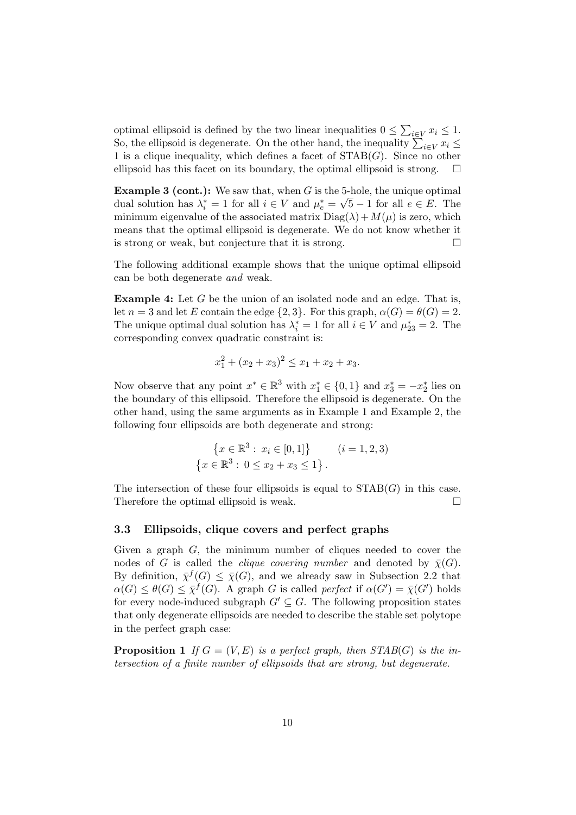optimal ellipsoid is defined by the two linear inequalities  $0 \le \sum_{i \in V} x_i \le 1$ . So, the ellipsoid is degenerate. On the other hand, the inequality  $\sum_{i\in V} x_i \leq$ 1 is a clique inequality, which defines a facet of  $STAB(G)$ . Since no other ellipsoid has this facet on its boundary, the optimal ellipsoid is strong.  $\square$ 

**Example 3 (cont.):** We saw that, when G is the 5-hole, the unique optimal dual solution has  $\lambda_i^* = 1$  for all  $i \in V$  and  $\mu_e^* = \sqrt{5} - 1$  for all  $e \in E$ . The minimum eigenvalue of the associated matrix  $Diag(\lambda) + M(\mu)$  is zero, which means that the optimal ellipsoid is degenerate. We do not know whether it is strong or weak, but conjecture that it is strong.  $\Box$ 

The following additional example shows that the unique optimal ellipsoid can be both degenerate and weak.

Example 4: Let G be the union of an isolated node and an edge. That is, let  $n = 3$  and let E contain the edge  $\{2, 3\}$ . For this graph,  $\alpha(G) = \theta(G) = 2$ . The unique optimal dual solution has  $\lambda_i^* = 1$  for all  $i \in V$  and  $\mu_{23}^* = 2$ . The corresponding convex quadratic constraint is:

$$
x_1^2 + (x_2 + x_3)^2 \le x_1 + x_2 + x_3.
$$

Now observe that any point  $x^* \in \mathbb{R}^3$  with  $x_1^* \in \{0,1\}$  and  $x_3^* = -x_2^*$  lies on the boundary of this ellipsoid. Therefore the ellipsoid is degenerate. On the other hand, using the same arguments as in Example 1 and Example 2, the following four ellipsoids are both degenerate and strong:

$$
\{x \in \mathbb{R}^3 : x_i \in [0, 1]\} \qquad (i = 1, 2, 3)
$$

$$
\{x \in \mathbb{R}^3 : 0 \le x_2 + x_3 \le 1\}.
$$

The intersection of these four ellipsoids is equal to  $STAB(G)$  in this case. Therefore the optimal ellipsoid is weak.

## 3.3 Ellipsoids, clique covers and perfect graphs

Given a graph G, the minimum number of cliques needed to cover the nodes of G is called the *clique covering number* and denoted by  $\bar{\chi}(G)$ . By definition,  $\bar{\chi}^f(G) \leq \bar{\chi}(G)$ , and we already saw in Subsection 2.2 that  $\alpha(G) \leq \theta(G) \leq \overline{\chi}^f(G)$ . A graph G is called perfect if  $\alpha(G') = \overline{\chi}(G')$  holds for every node-induced subgraph  $G' \subseteq G$ . The following proposition states that only degenerate ellipsoids are needed to describe the stable set polytope in the perfect graph case:

**Proposition 1** If  $G = (V, E)$  is a perfect graph, then  $STAB(G)$  is the intersection of a finite number of ellipsoids that are strong, but degenerate.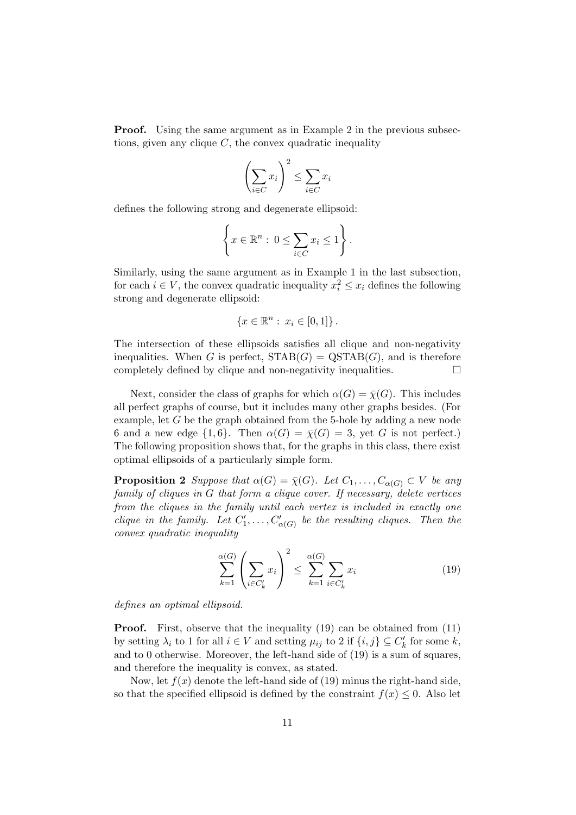**Proof.** Using the same argument as in Example 2 in the previous subsections, given any clique  $C$ , the convex quadratic inequality

$$
\left(\sum_{i \in C} x_i\right)^2 \le \sum_{i \in C} x_i
$$

defines the following strong and degenerate ellipsoid:

$$
\left\{x \in \mathbb{R}^n : 0 \le \sum_{i \in C} x_i \le 1\right\}.
$$

Similarly, using the same argument as in Example 1 in the last subsection, for each  $i \in V$ , the convex quadratic inequality  $x_i^2 \leq x_i$  defines the following strong and degenerate ellipsoid:

$$
\{x \in \mathbb{R}^n : x_i \in [0,1]\}.
$$

The intersection of these ellipsoids satisfies all clique and non-negativity inequalities. When G is perfect,  $STAB(G) = \text{QSTAB}(G)$ , and is therefore completely defined by clique and non-negativity inequalities.  $\Box$ 

Next, consider the class of graphs for which  $\alpha(G) = \overline{\chi}(G)$ . This includes all perfect graphs of course, but it includes many other graphs besides. (For example, let G be the graph obtained from the 5-hole by adding a new node 6 and a new edge  $\{1,6\}$ . Then  $\alpha(G) = \overline{\chi}(G) = 3$ , yet G is not perfect.) The following proposition shows that, for the graphs in this class, there exist optimal ellipsoids of a particularly simple form.

**Proposition 2** Suppose that  $\alpha(G) = \overline{\chi}(G)$ . Let  $C_1, \ldots, C_{\alpha(G)} \subset V$  be any family of cliques in G that form a clique cover. If necessary, delete vertices from the cliques in the family until each vertex is included in exactly one clique in the family. Let  $C'_1, \ldots, C'_{\alpha(G)}$  be the resulting cliques. Then the convex quadratic inequality

$$
\sum_{k=1}^{\alpha(G)} \left( \sum_{i \in C'_k} x_i \right)^2 \le \sum_{k=1}^{\alpha(G)} \sum_{i \in C'_k} x_i \tag{19}
$$

defines an optimal ellipsoid.

**Proof.** First, observe that the inequality (19) can be obtained from (11) by setting  $\lambda_i$  to 1 for all  $i \in V$  and setting  $\mu_{ij}$  to 2 if  $\{i, j\} \subseteq C'_k$  for some  $k$ , and to 0 otherwise. Moreover, the left-hand side of (19) is a sum of squares, and therefore the inequality is convex, as stated.

Now, let  $f(x)$  denote the left-hand side of (19) minus the right-hand side, so that the specified ellipsoid is defined by the constraint  $f(x) \leq 0$ . Also let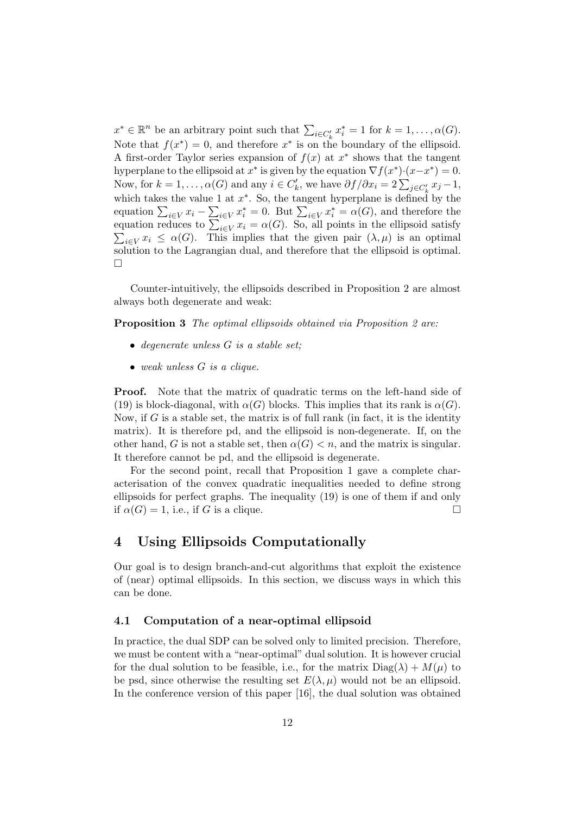$x^* \in \mathbb{R}^n$  be an arbitrary point such that  $\sum_{i \in C'_k} x_i^* = 1$  for  $k = 1, ..., \alpha(G)$ . Note that  $f(x^*) = 0$ , and therefore  $x^*$  is on the boundary of the ellipsoid. A first-order Taylor series expansion of  $f(x)$  at  $x^*$  shows that the tangent hyperplane to the ellipsoid at  $x^*$  is given by the equation  $\nabla f(x^*) \cdot (x - x^*) = 0$ . Now, for  $k = 1, ..., \alpha(G)$  and any  $i \in C'_{k}$ , we have  $\partial f / \partial x_{i} = 2 \sum_{j \in C'_{k}} x_{j} - 1$ , which takes the value 1 at  $x^*$ . So, the tangent hyperplane is defined by the equation  $\sum_{i\in V} x_i - \sum_{i\in V} x_i^* = 0$ . But  $\sum_{i\in V} x_i^* = \alpha(G)$ , and therefore the equation reduces to  $\sum_{i\in V} x_i = \alpha(G)$ . So, all points in the ellipsoid satisfy  $\sum_{i\in V} x_i \leq \alpha(G)$ . This implies that the given pair  $(\lambda, \mu)$  is an optimal solution to the Lagrangian dual, and therefore that the ellipsoid is optimal.  $\Box$ 

Counter-intuitively, the ellipsoids described in Proposition 2 are almost always both degenerate and weak:

Proposition 3 The optimal ellipsoids obtained via Proposition 2 are:

- degenerate unless G is a stable set:
- weak unless G is a clique.

Proof. Note that the matrix of quadratic terms on the left-hand side of (19) is block-diagonal, with  $\alpha(G)$  blocks. This implies that its rank is  $\alpha(G)$ . Now, if  $G$  is a stable set, the matrix is of full rank (in fact, it is the identity matrix). It is therefore pd, and the ellipsoid is non-degenerate. If, on the other hand, G is not a stable set, then  $\alpha(G) < n$ , and the matrix is singular. It therefore cannot be pd, and the ellipsoid is degenerate.

For the second point, recall that Proposition 1 gave a complete characterisation of the convex quadratic inequalities needed to define strong ellipsoids for perfect graphs. The inequality (19) is one of them if and only if  $\alpha(G) = 1$ , i.e., if G is a clique.

# 4 Using Ellipsoids Computationally

Our goal is to design branch-and-cut algorithms that exploit the existence of (near) optimal ellipsoids. In this section, we discuss ways in which this can be done.

## 4.1 Computation of a near-optimal ellipsoid

In practice, the dual SDP can be solved only to limited precision. Therefore, we must be content with a "near-optimal" dual solution. It is however crucial for the dual solution to be feasible, i.e., for the matrix  $Diag(\lambda) + M(\mu)$  to be psd, since otherwise the resulting set  $E(\lambda, \mu)$  would not be an ellipsoid. In the conference version of this paper [16], the dual solution was obtained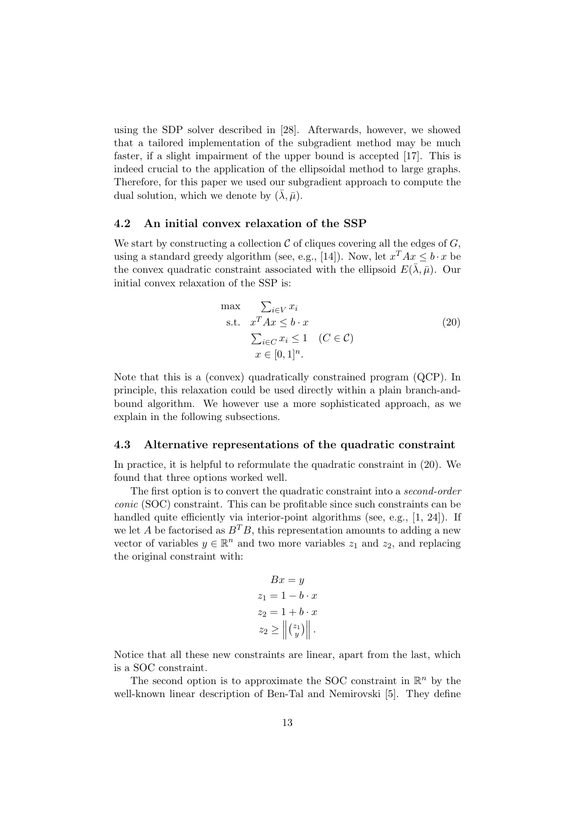using the SDP solver described in [28]. Afterwards, however, we showed that a tailored implementation of the subgradient method may be much faster, if a slight impairment of the upper bound is accepted [17]. This is indeed crucial to the application of the ellipsoidal method to large graphs. Therefore, for this paper we used our subgradient approach to compute the dual solution, which we denote by  $(\bar{\lambda}, \bar{\mu})$ .

## 4.2 An initial convex relaxation of the SSP

We start by constructing a collection  $\mathcal C$  of cliques covering all the edges of  $G$ , using a standard greedy algorithm (see, e.g., [14]). Now, let  $x^T A x \leq b \cdot x$  be the convex quadratic constraint associated with the ellipsoid  $E(\bar{\lambda}, \bar{\mu})$ . Our initial convex relaxation of the SSP is:

$$
\max \sum_{i \in V} x_i
$$
\n
$$
\sum_{i \in V} x_i
$$
\n
$$
\sum_{i \in C} x_i \le 1 \quad (C \in \mathcal{C})
$$
\n
$$
x \in [0, 1]^n.
$$
\n(20)

Note that this is a (convex) quadratically constrained program (QCP). In principle, this relaxation could be used directly within a plain branch-andbound algorithm. We however use a more sophisticated approach, as we explain in the following subsections.

#### 4.3 Alternative representations of the quadratic constraint

In practice, it is helpful to reformulate the quadratic constraint in (20). We found that three options worked well.

The first option is to convert the quadratic constraint into a second-order conic (SOC) constraint. This can be profitable since such constraints can be handled quite efficiently via interior-point algorithms (see, e.g., [1, 24]). If we let A be factorised as  $B^T B$ , this representation amounts to adding a new vector of variables  $y \in \mathbb{R}^n$  and two more variables  $z_1$  and  $z_2$ , and replacing the original constraint with:

$$
Bx = y
$$
  
\n
$$
z_1 = 1 - b \cdot x
$$
  
\n
$$
z_2 = 1 + b \cdot x
$$
  
\n
$$
z_2 \ge ||\begin{pmatrix} z_1 \\ y \end{pmatrix}||.
$$

Notice that all these new constraints are linear, apart from the last, which is a SOC constraint.

The second option is to approximate the SOC constraint in  $\mathbb{R}^n$  by the well-known linear description of Ben-Tal and Nemirovski [5]. They define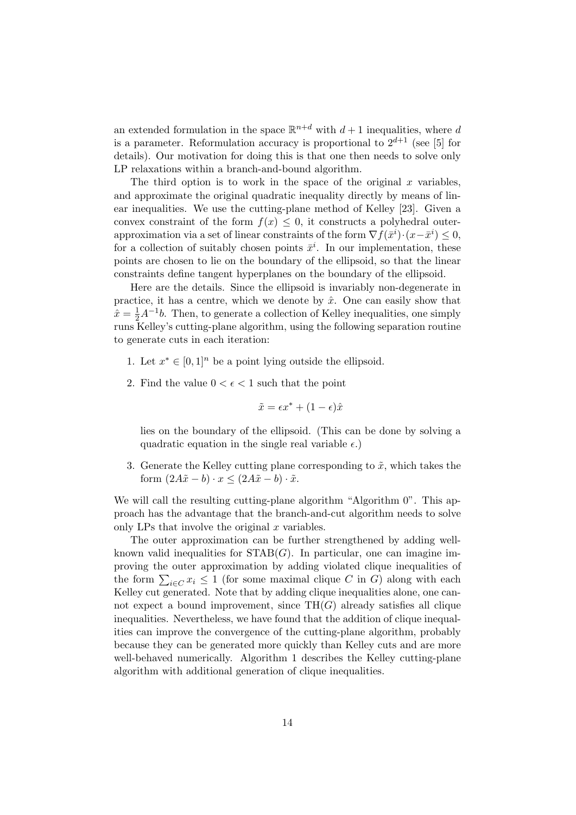an extended formulation in the space  $\mathbb{R}^{n+d}$  with  $d+1$  inequalities, where d is a parameter. Reformulation accuracy is proportional to  $2^{d+1}$  (see [5] for details). Our motivation for doing this is that one then needs to solve only LP relaxations within a branch-and-bound algorithm.

The third option is to work in the space of the original  $x$  variables, and approximate the original quadratic inequality directly by means of linear inequalities. We use the cutting-plane method of Kelley [23]. Given a convex constraint of the form  $f(x) \leq 0$ , it constructs a polyhedral outerapproximation via a set of linear constraints of the form  $\nabla f(\bar{x}^i) \cdot (x - \bar{x}^i) \leq 0$ , for a collection of suitably chosen points  $\bar{x}^i$ . In our implementation, these points are chosen to lie on the boundary of the ellipsoid, so that the linear constraints define tangent hyperplanes on the boundary of the ellipsoid.

Here are the details. Since the ellipsoid is invariably non-degenerate in practice, it has a centre, which we denote by  $\hat{x}$ . One can easily show that  $\hat{x} = \frac{1}{2}A^{-1}b$ . Then, to generate a collection of Kelley inequalities, one simply runs Kelley's cutting-plane algorithm, using the following separation routine to generate cuts in each iteration:

- 1. Let  $x^* \in [0,1]^n$  be a point lying outside the ellipsoid.
- 2. Find the value  $0 < \epsilon < 1$  such that the point

$$
\tilde{x} = \epsilon x^* + (1 - \epsilon)\hat{x}
$$

lies on the boundary of the ellipsoid. (This can be done by solving a quadratic equation in the single real variable  $\epsilon$ .)

3. Generate the Kelley cutting plane corresponding to  $\tilde{x}$ , which takes the form  $(2A\tilde{x} - b) \cdot x \le (2A\tilde{x} - b) \cdot \tilde{x}$ .

We will call the resulting cutting-plane algorithm "Algorithm 0". This approach has the advantage that the branch-and-cut algorithm needs to solve only LPs that involve the original  $x$  variables.

The outer approximation can be further strengthened by adding wellknown valid inequalities for  $STAB(G)$ . In particular, one can imagine improving the outer approximation by adding violated clique inequalities of the form  $\sum_{i\in C} x_i \leq 1$  (for some maximal clique C in G) along with each Kelley cut generated. Note that by adding clique inequalities alone, one cannot expect a bound improvement, since  $TH(G)$  already satisfies all clique inequalities. Nevertheless, we have found that the addition of clique inequalities can improve the convergence of the cutting-plane algorithm, probably because they can be generated more quickly than Kelley cuts and are more well-behaved numerically. Algorithm 1 describes the Kelley cutting-plane algorithm with additional generation of clique inequalities.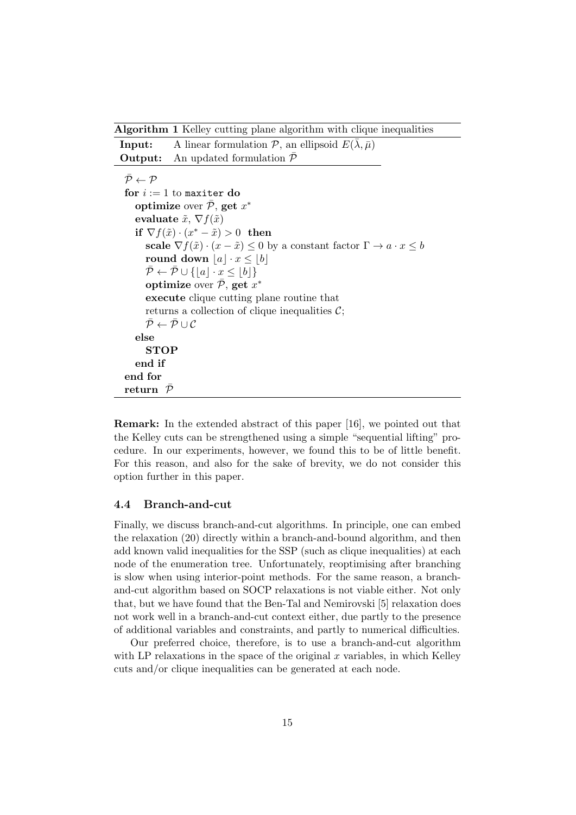Algorithm 1 Kelley cutting plane algorithm with clique inequalities

| Input: | A linear formulation $P$ , an ellipsoid $E(\lambda, \bar{\mu})$ |
|--------|-----------------------------------------------------------------|
|        | <b>Output:</b> An updated formulation $\mathcal{P}$             |

 $\bar{\mathcal{P}} \leftarrow \mathcal{P}$ for  $i := 1$  to maxiter do optimize over  $\bar{\mathcal{P}},$  get  $x^*$ evaluate  $\tilde{x}$ ,  $\nabla f(\tilde{x})$ if  $\nabla f(\tilde{x}) \cdot (x^* - \tilde{x}) > 0$  then scale  $\nabla f(\tilde{x}) \cdot (x - \tilde{x}) \leq 0$  by a constant factor  $\Gamma \to a \cdot x \leq b$ round down  $|a| \cdot x \leq |b|$  $\overline{\mathcal{P}} \leftarrow \overline{\mathcal{P}} \cup \{|a| \cdot x \leq |b|\}$ optimize over  $\bar{\mathcal{P}}$ , get  $x^*$ execute clique cutting plane routine that returns a collection of clique inequalities  $\mathcal{C}$ ;  $\bar{\mathcal{P}} \leftarrow \bar{\mathcal{P}} \cup \mathcal{C}$ else **STOP** end if end for return  $\bar{\mathcal{P}}$ 

Remark: In the extended abstract of this paper [16], we pointed out that the Kelley cuts can be strengthened using a simple "sequential lifting" procedure. In our experiments, however, we found this to be of little benefit. For this reason, and also for the sake of brevity, we do not consider this option further in this paper.

## 4.4 Branch-and-cut

Finally, we discuss branch-and-cut algorithms. In principle, one can embed the relaxation (20) directly within a branch-and-bound algorithm, and then add known valid inequalities for the SSP (such as clique inequalities) at each node of the enumeration tree. Unfortunately, reoptimising after branching is slow when using interior-point methods. For the same reason, a branchand-cut algorithm based on SOCP relaxations is not viable either. Not only that, but we have found that the Ben-Tal and Nemirovski [5] relaxation does not work well in a branch-and-cut context either, due partly to the presence of additional variables and constraints, and partly to numerical difficulties.

Our preferred choice, therefore, is to use a branch-and-cut algorithm with LP relaxations in the space of the original  $x$  variables, in which Kelley cuts and/or clique inequalities can be generated at each node.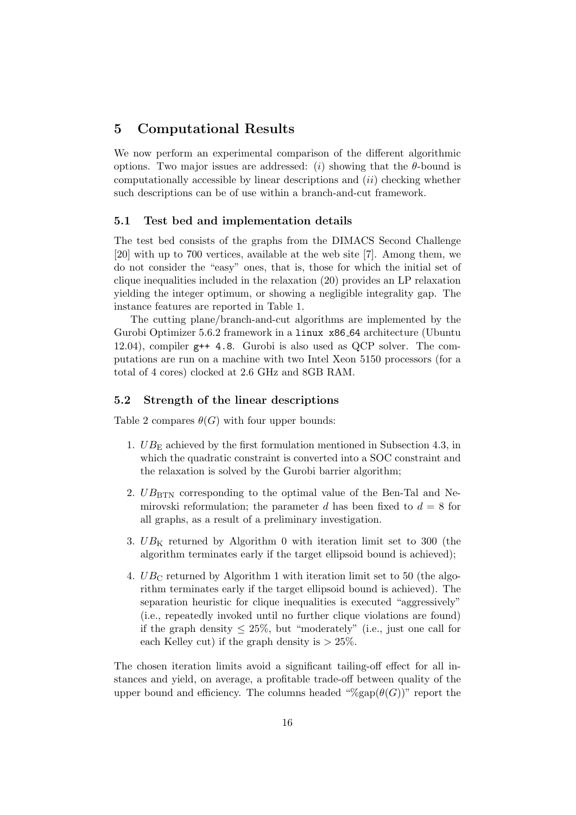# 5 Computational Results

We now perform an experimental comparison of the different algorithmic options. Two major issues are addressed: (i) showing that the  $\theta$ -bound is computationally accessible by linear descriptions and  $(ii)$  checking whether such descriptions can be of use within a branch-and-cut framework.

## 5.1 Test bed and implementation details

The test bed consists of the graphs from the DIMACS Second Challenge [20] with up to 700 vertices, available at the web site [7]. Among them, we do not consider the "easy" ones, that is, those for which the initial set of clique inequalities included in the relaxation (20) provides an LP relaxation yielding the integer optimum, or showing a negligible integrality gap. The instance features are reported in Table 1.

The cutting plane/branch-and-cut algorithms are implemented by the Gurobi Optimizer 5.6.2 framework in a linux x86 64 architecture (Ubuntu 12.04), compiler g++ 4.8. Gurobi is also used as QCP solver. The computations are run on a machine with two Intel Xeon 5150 processors (for a total of 4 cores) clocked at 2.6 GHz and 8GB RAM.

# 5.2 Strength of the linear descriptions

Table 2 compares  $\theta(G)$  with four upper bounds:

- 1.  $UB_{\rm E}$  achieved by the first formulation mentioned in Subsection 4.3, in which the quadratic constraint is converted into a SOC constraint and the relaxation is solved by the Gurobi barrier algorithm;
- 2.  $UB_{\text{BTN}}$  corresponding to the optimal value of the Ben-Tal and Nemirovski reformulation; the parameter d has been fixed to  $d = 8$  for all graphs, as a result of a preliminary investigation.
- 3.  $UB_K$  returned by Algorithm 0 with iteration limit set to 300 (the algorithm terminates early if the target ellipsoid bound is achieved);
- 4.  $UB_{\rm C}$  returned by Algorithm 1 with iteration limit set to 50 (the algorithm terminates early if the target ellipsoid bound is achieved). The separation heuristic for clique inequalities is executed "aggressively" (i.e., repeatedly invoked until no further clique violations are found) if the graph density  $\leq 25\%$ , but "moderately" (i.e., just one call for each Kelley cut) if the graph density is  $> 25\%$ .

The chosen iteration limits avoid a significant tailing-off effect for all instances and yield, on average, a profitable trade-off between quality of the upper bound and efficiency. The columns headed " $\mathcal{H}$ gap $(\theta(G))^n$ " report the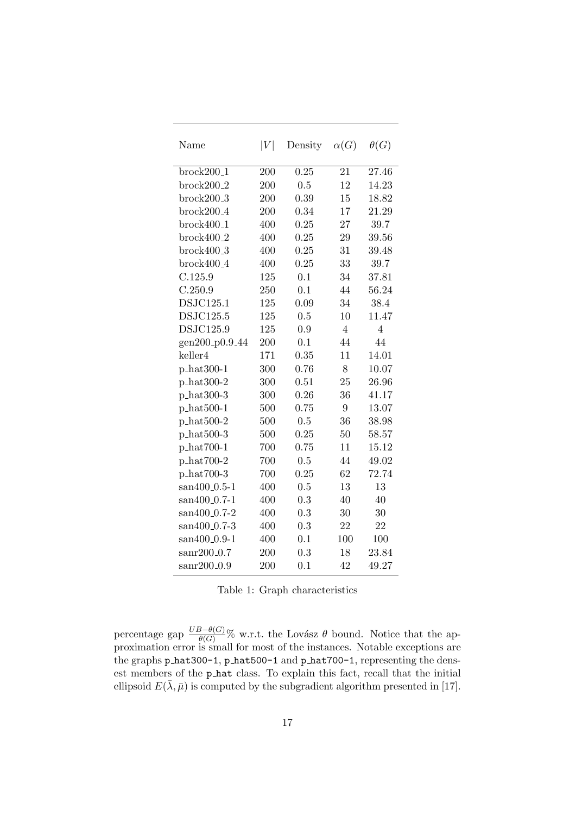| Name                      | $\left V\right $ | Density | $\alpha(G)$    | $\theta(G)$    |
|---------------------------|------------------|---------|----------------|----------------|
| $brock200_1$              | 200              | 0.25    | 21             | 27.46          |
| $brock200_2$              | 200              | 0.5     | 12             | 14.23          |
| $brock200_3$              | 200              | 0.39    | 15             | 18.82          |
| $brock200_4$              | 200              | 0.34    | 17             | 21.29          |
| $brock400_1$              | 400              | 0.25    | 27             | 39.7           |
| $brock400_2$              | 400              | 0.25    | 29             | 39.56          |
| $brock400_3$              | 400              | 0.25    | 31             | 39.48          |
| $brock400_4$              | 400              | 0.25    | 33             | 39.7           |
| C.125.9                   | 125              | 0.1     | 34             | 37.81          |
| C.250.9                   | 250              | 0.1     | 44             | 56.24          |
| DSJC125.1                 | 125              | 0.09    | 34             | 38.4           |
| DSJC125.5                 | 125              | 0.5     | 10             | 11.47          |
| DSJC125.9                 | 125              | 0.9     | $\overline{4}$ | $\overline{4}$ |
| gen200_p0.9_44            | 200              | 0.1     | 44             | 44             |
| keller4                   | 171              | 0.35    | 11             | 14.01          |
| $p_{hat300-1}$            | 300              | 0.76    | 8              | 10.07          |
| $p_{hat300-2}$            | 300              | 0.51    | 25             | 26.96          |
| $p_hat300-3$              | 300              | 0.26    | 36             | 41.17          |
| $p_{\text{hat500-1}}$     | 500              | 0.75    | 9              | 13.07          |
| $p_{\text{hat500-2}}$     | 500              | 0.5     | 36             | 38.98          |
| $p_{\text{hat500-3}}$     | 500              | 0.25    | 50             | 58.57          |
| $p_{hat700-1}$            | 700              | 0.75    | 11             | 15.12          |
| p_hat700-2                | 700              | 0.5     | 44             | 49.02          |
| $p_{hat700-3}$            | 700              | 0.25    | 62             | 72.74          |
| san400_0.5-1              | 400              | 0.5     | 13             | 13             |
| san400_0.7-1              | 400              | 0.3     | 40             | 40             |
| san400_0.7-2              | 400              | 0.3     | 30             | 30             |
| san400 <sub>-0</sub> .7-3 | 400              | 0.3     | 22             | 22             |
| san400_0.9-1              | 400              | 0.1     | 100            | 100            |
| $\mathrm{sanr}200\_0.7$   | 200              | 0.3     | 18             | 23.84          |
| $sanr200_0.9$             | 200              | 0.1     | 42             | 49.27          |

|  |  |  | Table 1: Graph characteristics |
|--|--|--|--------------------------------|
|--|--|--|--------------------------------|

percentage gap  $\frac{UB-\theta(G)}{\theta(G)}$ % w.r.t. the Lovász  $\theta$  bound. Notice that the approximation error is small for most of the instances. Notable exceptions are the graphs p hat 300-1, p hat 500-1 and p hat 700-1, representing the densest members of the p hat class. To explain this fact, recall that the initial ellipsoid  $E(\bar{\lambda}, \bar{\mu})$  is computed by the subgradient algorithm presented in [17].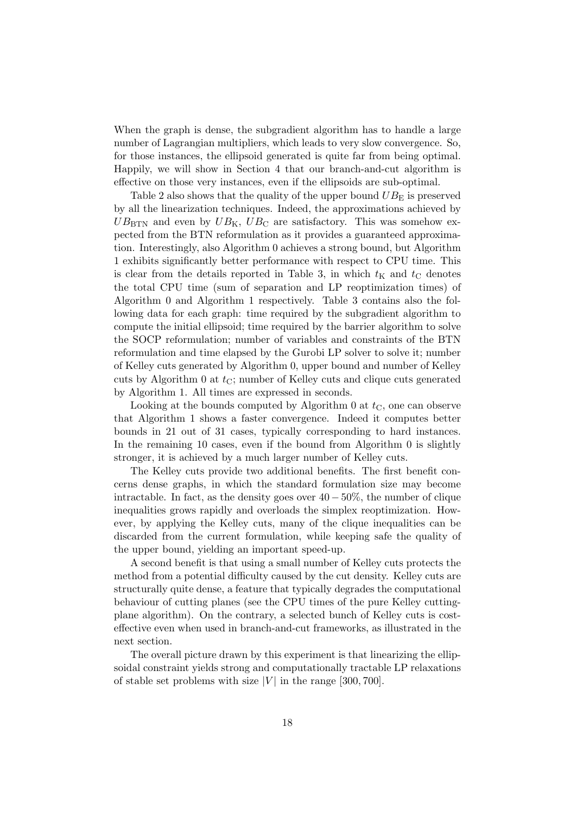When the graph is dense, the subgradient algorithm has to handle a large number of Lagrangian multipliers, which leads to very slow convergence. So, for those instances, the ellipsoid generated is quite far from being optimal. Happily, we will show in Section 4 that our branch-and-cut algorithm is effective on those very instances, even if the ellipsoids are sub-optimal.

Table 2 also shows that the quality of the upper bound  $UB<sub>E</sub>$  is preserved by all the linearization techniques. Indeed, the approximations achieved by  $UB_{\rm BTN}$  and even by  $UB_{\rm K}$ ,  $UB_{\rm C}$  are satisfactory. This was somehow expected from the BTN reformulation as it provides a guaranteed approximation. Interestingly, also Algorithm 0 achieves a strong bound, but Algorithm 1 exhibits significantly better performance with respect to CPU time. This is clear from the details reported in Table 3, in which  $t_K$  and  $t_C$  denotes the total CPU time (sum of separation and LP reoptimization times) of Algorithm 0 and Algorithm 1 respectively. Table 3 contains also the following data for each graph: time required by the subgradient algorithm to compute the initial ellipsoid; time required by the barrier algorithm to solve the SOCP reformulation; number of variables and constraints of the BTN reformulation and time elapsed by the Gurobi LP solver to solve it; number of Kelley cuts generated by Algorithm 0, upper bound and number of Kelley cuts by Algorithm 0 at  $t_{\text{C}}$ ; number of Kelley cuts and clique cuts generated by Algorithm 1. All times are expressed in seconds.

Looking at the bounds computed by Algorithm 0 at  $t_{\rm C}$ , one can observe that Algorithm 1 shows a faster convergence. Indeed it computes better bounds in 21 out of 31 cases, typically corresponding to hard instances. In the remaining 10 cases, even if the bound from Algorithm 0 is slightly stronger, it is achieved by a much larger number of Kelley cuts.

The Kelley cuts provide two additional benefits. The first benefit concerns dense graphs, in which the standard formulation size may become intractable. In fact, as the density goes over  $40 - 50\%$ , the number of clique inequalities grows rapidly and overloads the simplex reoptimization. However, by applying the Kelley cuts, many of the clique inequalities can be discarded from the current formulation, while keeping safe the quality of the upper bound, yielding an important speed-up.

A second benefit is that using a small number of Kelley cuts protects the method from a potential difficulty caused by the cut density. Kelley cuts are structurally quite dense, a feature that typically degrades the computational behaviour of cutting planes (see the CPU times of the pure Kelley cuttingplane algorithm). On the contrary, a selected bunch of Kelley cuts is costeffective even when used in branch-and-cut frameworks, as illustrated in the next section.

The overall picture drawn by this experiment is that linearizing the ellipsoidal constraint yields strong and computationally tractable LP relaxations of stable set problems with size |V| in the range  $[300, 700]$ .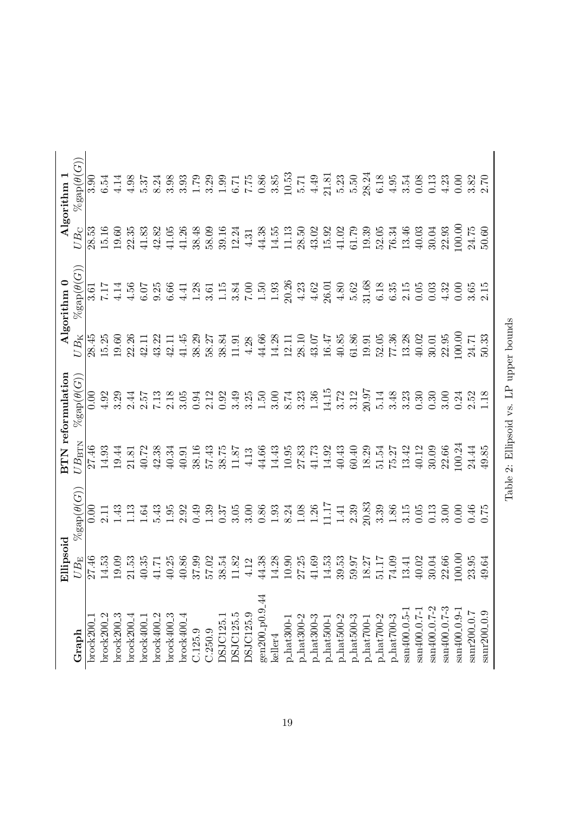|                             | Ellipsoid    |                        |                | <b>BTN</b> reformulation |              | Algorithm 0            |              | $\rm{Algorithm}$ 1    |
|-----------------------------|--------------|------------------------|----------------|--------------------------|--------------|------------------------|--------------|-----------------------|
| Graph                       | $UB_{\rm E}$ | $\%$ gap $(\theta(G))$ | $UB_{\rm HTM}$ | $\%$ gap $(\theta(G))$   | $UB_{\rm K}$ | $\%$ gap $(\theta(G))$ | $UB_{\rm C}$ | $\%$ gap $(\theta(G)$ |
| brock200                    | 27.46        | 0.00                   | 27.46          | 0.00                     | 28.45        | 3.61                   | 28.53        | 3.90                  |
| brock $200\_2$              | 14.53        | 2.11                   | 14.93          | 4.92                     | 15.25        | 717                    | 15.16        | 6.54                  |
| $brock200_3$                | 19.09        | 1.43                   | 19.44          | 3.29                     | 19.60        | 4.14                   | 19.60        | 4.14                  |
| $brock200_4$                | 21.53        | 1.13                   | 21.81          | 2.44                     | 22.26        | 4.56                   | 22.35        | 4.98                  |
| brock400_                   | $40.35\,$    | 1.64                   | 40.72          | 2.57                     | 42.11        | 6.07                   | $41.83\,$    | 5.37                  |
| brock400.2                  | 41.71        | 5.43                   | 42.38          | 7.13                     | 43.22        | 9.25                   | 42.82        | 8.24                  |
| $brock400-3$                | 40.25        | 1.95                   | 40.34          | $2.18$                   | $42.11\,$    | 6.66                   | 41.05        | 3.98                  |
| $b$ rock $400\_4$           | $40.86$      | 2.92                   | 40.91          | 3.05                     | 41.45        | 4.41                   | 41.26        | 3.93                  |
| C.125.9                     | 37.99        | 0.49                   | 38.16          | 0.94                     | 38.29        | 1.28                   | 38.48        | 1.79                  |
| C.250.9                     | 57.02        | 1.39                   | 57.43          | 2.12                     | 58.27        | 3.61                   | 58.09        | 3.29                  |
| DSJC125.1                   | 38.54        | 0.37                   | 38.75          | 0.92                     | 38.84        | $1.15\,$               | 39.16        | $\frac{1.99}{6.71}$   |
| <b>DSJC125.5</b>            | 11.82        | 3.05                   | 11.87          | 3.49                     | 11.91        | 3.84                   | 12.24        |                       |
| DSJC125.9                   | 4.12         | 3.00                   | 4.13           | 3.25                     | 4.28         | 7.00                   | 4.31         |                       |
| gen200 <sub>-</sub> p0.9-44 | 44.38        | $0.86\,$               | 44.66          | 1.50                     | 44.66        | $1.50\,$               | 44.38        | $0.86\,$              |
| keller4                     | 14.28        | 1.93                   | 14.43          | 3.00                     | 14.28        | $1.93\,$               | 14.55        | 3.85                  |
| $p\_hat300-1$               | 10.90        | 8.24                   | 10.95          | 8.74                     | 12.11        | 20.26                  | 11.13        | $10.53\,$             |
| $p\_hat300-2$               | 27.25        | $1.08\,$               | 27.83          | 3.23                     | 28.10        | 4.23                   | 28.50        | 5.71                  |
| $p\_hat 300-3$              | 41.69        | $1.26\,$               | 41.73          | $1.36\,$                 | 43.07        | $4.62\,$               | 43.02        | 4.49                  |
| $p\_hat500-1$               | 14.53        | 11.17                  | 14.92          | 14.15                    | 16.47        | 26.01                  | 15.92        | 21.81                 |
| $p\_hat500-2$               | 39.53        | 1.41                   | 40.43          | 3.72                     | 40.85        | $4.80$                 | 41.02        | 5.23                  |
| $p\_hat500-3$               | 59.97        | 2.39                   | 60.40          | 3.12                     | 61.86        | 5.62                   | 61.79        | 5.50                  |
| $p\_hat700-1$               | 18.27        | 20.83                  | 18.29          | 20.97                    | 19.91        | 31.68                  | 19.39        | 28.24                 |
| $p\_hat700-2$               | 51.17        | 3.39                   | 51.54          | 5.14                     | 52.05        | $6.18\,$               | 52.05        | 6.18                  |
| $p\_hat700-3$               | 74.09        | 1.86                   | 75.27          | 3.48                     | 77.36        | 6.35                   | 76.34        | $4.95\,$              |
| san400_0.5-                 | 13.41        | 3.15                   | 13.42          | 3.23                     | 13.28        | 2.15                   | 13.46        | 3.54                  |
| san400 <sub>-0</sub> .7-1   | 40.02        | 0.05                   | 40.12          | 0.30                     | 40.02        | $0.05\,$               | 40.03        | 0.08                  |
| san400 <sub>-</sub> 0.7-2   | 30.04        | 0.13                   | 30.09          | 0.30                     | 30.01        | 0.03                   | 30.04        | 0.13                  |
| san400 <sub>-0</sub> .7-3   | 22.66        | 3.00                   | 22.66          | 3.00                     | 22.95        | 4.32                   | 22.93        | 4.23                  |
| san400_0.9-1                | 100.00       | 0.00                   | 100.24         | 0.24                     | 100.00       | 0.00                   | 100.00       | 0.00                  |
| sanr200 <sub>-0</sub> .7    | 23.95        | $0.46$<br>0.75         | 24.44          | 2.52                     | 24.71        | 3.65                   | 24.75        | $3.82$<br>$2.70$      |
| sanr200_0.9                 | 49.64        |                        | 49.85          | 1.18                     | 50.33        | 2.15                   | 50.60        |                       |
|                             |              |                        |                |                          |              |                        |              |                       |

Table 2: Ellipsoid vs. LP upper bounds Table 2: Ellipsoid vs. LP upper bounds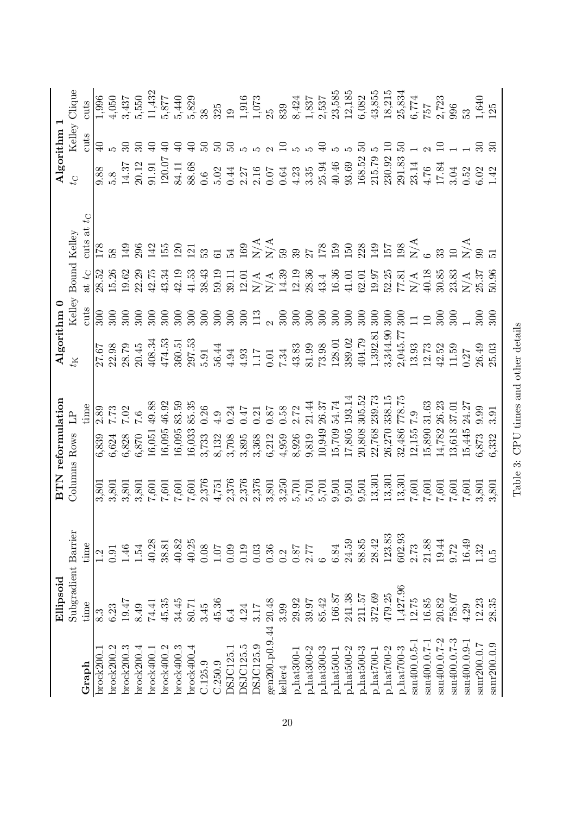|                                              | Ellipsoid           |                                                           |                       | <b>BTN</b> reformulation                       |                                                                                            | Algorithm 0                                    |                                          |                                                                               |                                                                                      | Algorithm 1                 |                                                                              |
|----------------------------------------------|---------------------|-----------------------------------------------------------|-----------------------|------------------------------------------------|--------------------------------------------------------------------------------------------|------------------------------------------------|------------------------------------------|-------------------------------------------------------------------------------|--------------------------------------------------------------------------------------|-----------------------------|------------------------------------------------------------------------------|
|                                              | Subgradient Barrier |                                                           | Columns Rows          |                                                |                                                                                            |                                                | Kelley Bound Kelley                      |                                                                               | $C_4$                                                                                |                             | Kelley Clique                                                                |
| $\operatorname{Graph}$                       | time                | time                                                      |                       | time                                           |                                                                                            | cuts                                           | at $t_C$                                 | cuts at $t_C$                                                                 |                                                                                      | cuts                        | cuts                                                                         |
| brock200                                     | 8.3                 |                                                           | 3,801                 | 6,839                                          | 27.67                                                                                      | 300                                            | 28.52                                    | 178                                                                           |                                                                                      | $\Theta$                    | 1,996                                                                        |
| 2002200                                      | 6.23                | 0.91                                                      | 3,801                 | $2.89$<br>7.73<br>6,624                        |                                                                                            | 300                                            | 15.26                                    | 58                                                                            | 5.8                                                                                  |                             | 4,050                                                                        |
| $brock200_3$                                 | 19.47               | $1.46\,$                                                  | 3,801                 | 7.02<br>6,828<br>6,870                         | 22.98<br>28.79<br>20.45                                                                    | 300                                            |                                          |                                                                               |                                                                                      |                             | 3,437                                                                        |
| 00Ck200                                      | 8.49                | 1.54                                                      | 3,801                 | 0.7                                            |                                                                                            | 300                                            |                                          | 149<br>296                                                                    |                                                                                      |                             | 5,550                                                                        |
| brock400                                     | 74.41               | 40.28                                                     | 7,601                 | 49.88<br>$16,\!051$                            | $\begin{array}{c} 408.34 \\ 474.53 \\ 360.51 \\ 297.53 \end{array}$                        | 300                                            | $19.62$<br>$22.29$<br>$43.34$<br>$43.34$ | 142<br>152<br>121<br>133                                                      | $\begin{array}{c} 14.37 \\ 20.12 \\ 91.91 \end{array}$                               | $\oplus$                    | $11,\!432$                                                                   |
| brock400                                     | 45.35               | $\begin{array}{c} 38.81 \\ 40.82 \\ \pm 0.25 \end{array}$ | $7,601$               | 46.92<br>16,095                                |                                                                                            | 300                                            |                                          |                                                                               | 120.07                                                                               | $\Theta$                    | 5,877                                                                        |
| $brock400-3$                                 | 34.45               |                                                           | 7,601                 | 83.59<br>16,095                                |                                                                                            | 300                                            | $42.19 \newline 41.53$                   |                                                                               | 84.11<br>88.68                                                                       | $\Theta$                    | 5,440                                                                        |
| $brock400_4$                                 | 80.71               |                                                           | $7,601$               | 85.35<br>16,033                                |                                                                                            | 300                                            |                                          |                                                                               |                                                                                      | $\Theta$                    | 5,829                                                                        |
| C.125.9                                      | 3.45                | $0.08\,$                                                  |                       | 0.26<br>3,733                                  | 5.91                                                                                       | 300                                            | 38.43                                    |                                                                               | 0.6                                                                                  | $50^{\circ}$                |                                                                              |
| C.250.9                                      | 45.36               | 107                                                       |                       | 4.9<br>8,132                                   | $56.44\,$                                                                                  | $300\,$                                        | 59.19                                    | 61                                                                            | 5.02                                                                                 | $50^{\circ}$                | 325                                                                          |
| <b>DSJC125.1</b>                             | 6.4                 | $0.09$<br>$0.19$<br>$0.03$                                | $\frac{2,376}{4,751}$ | 0.24<br>3,708                                  | 4.94                                                                                       | $300\,$                                        | 39.11                                    | $\mathbb{Z}$                                                                  | 0.44                                                                                 | $\mathbb{S}$                | $\overline{19}$                                                              |
| DSJC125.5                                    | 4.24                |                                                           |                       | 747<br>$3,895$                                 | $4.93 \newline 1.17$                                                                       |                                                |                                          |                                                                               |                                                                                      | LΩ                          | $\begin{array}{c} 1,916 \\ 1,073 \\ 25 \end{array}$                          |
| DSJC125.9                                    | 3.17                |                                                           |                       | 0.21<br>3,368                                  |                                                                                            | $\begin{array}{c} 300 \\ 113 \\ 2 \end{array}$ |                                          |                                                                               |                                                                                      | 520                         |                                                                              |
| gen200 <sub>-p</sub> 0.9 <sub>-44</sub>      | 20.48               | 0.36                                                      | $\frac{2,376}{2,376}$ | $0.87\,$<br>6,212                              | $0.01\,$                                                                                   |                                                |                                          | $169$ $274$ $274$ $299$ $274$ $299$ $299$ $299$ $299$ $299$ $299$ $299$ $299$ | $2.27$<br>$2.16$<br>$0.07$<br>$0.64$                                                 |                             |                                                                              |
| keller4                                      | 3.99                | 0.2                                                       | 3,250                 | 0.58<br>4,959                                  | 7.34                                                                                       | 300                                            |                                          |                                                                               |                                                                                      | $\overline{10}$             | 839                                                                          |
| p_hat300-                                    | 29.92               | $0.87$                                                    | 5,701                 | 2.72<br>8,926                                  | $43.83\,$                                                                                  | 300                                            |                                          |                                                                               |                                                                                      | ഹ                           |                                                                              |
| $p\_hat300-2$                                | 39.97               | 2.77                                                      | $\frac{5,701}{5,701}$ | 21.44<br>9,819                                 | $81.99\,$                                                                                  | 300                                            |                                          |                                                                               |                                                                                      | ъp                          |                                                                              |
| $p\_hat300-3$                                | 85.42               |                                                           |                       | 26.37<br>10,949                                | 73.98<br>128.01                                                                            | 300                                            |                                          |                                                                               |                                                                                      | $\Theta$                    |                                                                              |
| $_{\rm 1-1}$ hat $500$ -                     | 166.87              | 6.84                                                      | 9,501                 | 54.74                                          |                                                                                            | 300                                            |                                          |                                                                               |                                                                                      |                             |                                                                              |
| $phat500-2$                                  | 241.38              |                                                           | $9,501$<br>$9,501$    | 193.14<br>$15,709$ ;<br>$17,805$<br>$20,808$ ; | 389.02                                                                                     | 300                                            |                                          |                                                                               |                                                                                      |                             | $\begin{array}{c} 8,424 \\ 1,837 \\ 2,537 \\ 2,5385 \\ 2,185 \\ \end{array}$ |
| $p\_hat500-3$                                | $211.57$            | 24.59<br>88.85                                            |                       | 305.52                                         | 404.79                                                                                     | 300                                            |                                          |                                                                               |                                                                                      | S,                          | 6,082                                                                        |
| p_hat700-                                    | 372.69              | 28.42                                                     | 13,301                | 239.73<br>22,768                               | $\begin{array}{c} 1,392.81 \\ 3,344.90 \\ 2,045.77 \\ 13.93 \\ 12.73 \\ 42.52 \end{array}$ | 300                                            |                                          |                                                                               | $4.23$<br>$3.35$<br>$25.94$<br>$40.46$<br>$93.69$<br>$168.52$<br>$15.79$<br>$215.79$ | LΩ                          | 43,855                                                                       |
| $phat700-2$                                  | 479.25              | 123.83                                                    | 13,301                | 338.15<br>$26{,}270$                           |                                                                                            | 300                                            |                                          |                                                                               |                                                                                      | $\Xi$                       | 18,215                                                                       |
| $\mathrm{p}\text{-}\mathrm{hat700}\text{-}3$ | .427.96             | 602.93                                                    | 13,301                | 778.75<br>32,486                               |                                                                                            | 300                                            |                                          |                                                                               | 291.83                                                                               | $\mathbb{S}$                | 25,834                                                                       |
| san400 <sub>-0</sub> .5-1                    | 12.75               | 2.73                                                      | 7,601                 | 6.2<br>12,155                                  |                                                                                            | $\frac{11}{10}$                                |                                          |                                                                               | $23.14$<br>4.76                                                                      |                             | 6,774                                                                        |
| san400_0.7-1                                 | $16.85\,$           | 21.88                                                     | $7,\!601$             | 31.63<br>$15,890$                              |                                                                                            |                                                |                                          |                                                                               |                                                                                      |                             | 757                                                                          |
| san400 <sub>-</sub> 0.7-2                    | 20.82               | 19.44                                                     | $7,601$               | 26.23                                          |                                                                                            | 300                                            |                                          | 33                                                                            | 17.84                                                                                |                             | 2,723                                                                        |
| san400 <sub>-</sub> 0.7-3                    | 758.07              | 9.72                                                      | $7,\!601$             | 37.01<br>$14,782$<br>$13,618$                  | 11.59                                                                                      | 300                                            |                                          | $\overline{10}$                                                               | 3.04                                                                                 | $\frac{1}{1}$ $\frac{1}{1}$ | 996                                                                          |
| san400_0.9-1                                 | 4.29                | 16.49                                                     | 7,601                 | 24.27<br>15,445                                | 0.27                                                                                       |                                                |                                          |                                                                               | 0.52                                                                                 |                             | 53                                                                           |
| sanr200_0.7                                  | 12.23               | 1.32                                                      | 3,801                 | 0.99<br>5,873                                  | 26.49                                                                                      | 300                                            |                                          | $_{\rm N/A}^{\rm XA}$                                                         | $6.02$<br>1.42                                                                       | $\mathfrak{D}$              | 1,640<br>125                                                                 |
| sanr200_0.9                                  | 28.35               | C.C                                                       | 3,801                 | 3.91<br>,332                                   | 25.03                                                                                      | 300                                            |                                          |                                                                               |                                                                                      | $\mathfrak{D}$              |                                                                              |
|                                              |                     |                                                           |                       |                                                |                                                                                            |                                                |                                          |                                                                               |                                                                                      |                             |                                                                              |

Table 3: CPU times and other details

Table 3: CPU times and other details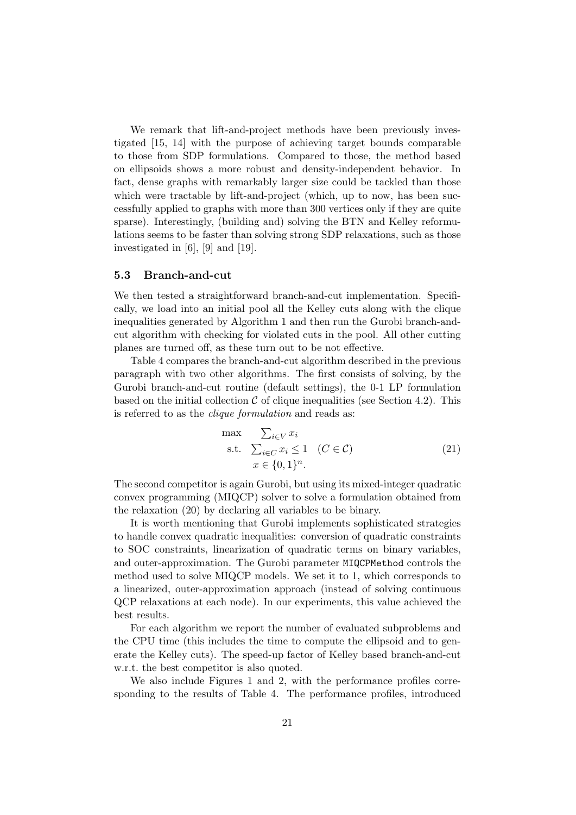We remark that lift-and-project methods have been previously investigated [15, 14] with the purpose of achieving target bounds comparable to those from SDP formulations. Compared to those, the method based on ellipsoids shows a more robust and density-independent behavior. In fact, dense graphs with remarkably larger size could be tackled than those which were tractable by lift-and-project (which, up to now, has been successfully applied to graphs with more than 300 vertices only if they are quite sparse). Interestingly, (building and) solving the BTN and Kelley reformulations seems to be faster than solving strong SDP relaxations, such as those investigated in [6], [9] and [19].

## 5.3 Branch-and-cut

We then tested a straightforward branch-and-cut implementation. Specifically, we load into an initial pool all the Kelley cuts along with the clique inequalities generated by Algorithm 1 and then run the Gurobi branch-andcut algorithm with checking for violated cuts in the pool. All other cutting planes are turned off, as these turn out to be not effective.

Table 4 compares the branch-and-cut algorithm described in the previous paragraph with two other algorithms. The first consists of solving, by the Gurobi branch-and-cut routine (default settings), the 0-1 LP formulation based on the initial collection  $\mathcal C$  of clique inequalities (see Section 4.2). This is referred to as the clique formulation and reads as:

$$
\begin{array}{ll}\n\max & \sum_{i \in V} x_i \\
\text{s.t.} & \sum_{i \in C} x_i \le 1 \quad (C \in \mathcal{C}) \\
& x \in \{0, 1\}^n.\n\end{array} \tag{21}
$$

The second competitor is again Gurobi, but using its mixed-integer quadratic convex programming (MIQCP) solver to solve a formulation obtained from the relaxation (20) by declaring all variables to be binary.

It is worth mentioning that Gurobi implements sophisticated strategies to handle convex quadratic inequalities: conversion of quadratic constraints to SOC constraints, linearization of quadratic terms on binary variables, and outer-approximation. The Gurobi parameter MIQCPMethod controls the method used to solve MIQCP models. We set it to 1, which corresponds to a linearized, outer-approximation approach (instead of solving continuous QCP relaxations at each node). In our experiments, this value achieved the best results.

For each algorithm we report the number of evaluated subproblems and the CPU time (this includes the time to compute the ellipsoid and to generate the Kelley cuts). The speed-up factor of Kelley based branch-and-cut w.r.t. the best competitor is also quoted.

We also include Figures 1 and 2, with the performance profiles corresponding to the results of Table 4. The performance profiles, introduced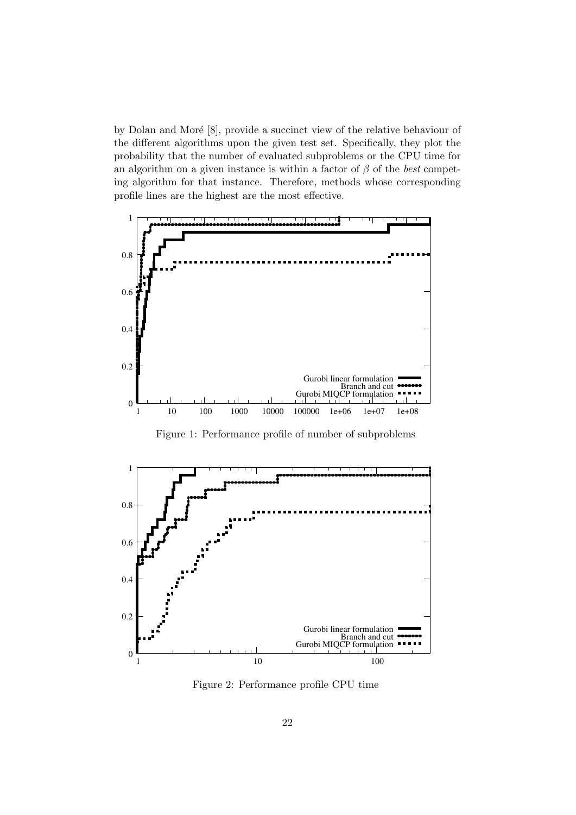by Dolan and Moré  $[8]$ , provide a succinct view of the relative behaviour of the different algorithms upon the given test set. Specifically, they plot the probability that the number of evaluated subproblems or the CPU time for an algorithm on a given instance is within a factor of  $\beta$  of the *best* competing algorithm for that instance. Therefore, methods whose corresponding profile lines are the highest are the most effective.



Figure 1: Performance profile of number of subproblems



Figure 2: Performance profile CPU time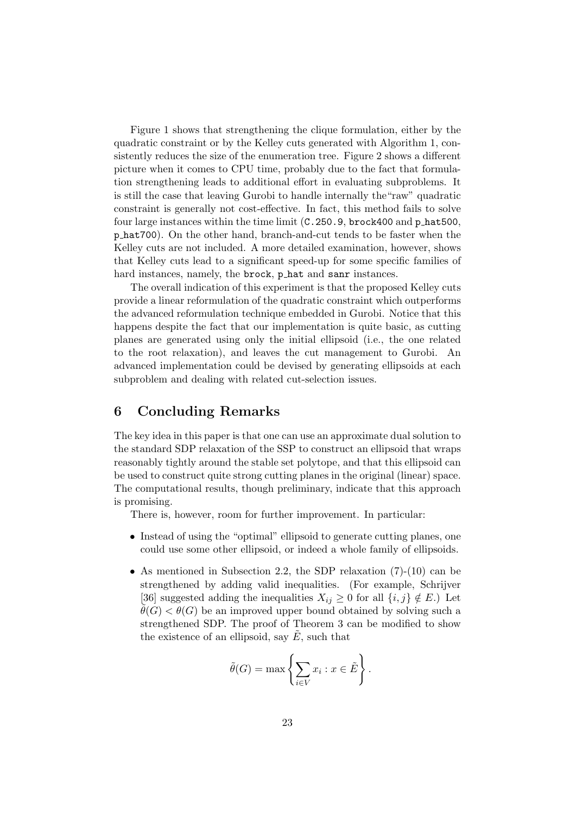Figure 1 shows that strengthening the clique formulation, either by the quadratic constraint or by the Kelley cuts generated with Algorithm 1, consistently reduces the size of the enumeration tree. Figure 2 shows a different picture when it comes to CPU time, probably due to the fact that formulation strengthening leads to additional effort in evaluating subproblems. It is still the case that leaving Gurobi to handle internally the"raw" quadratic constraint is generally not cost-effective. In fact, this method fails to solve four large instances within the time limit (C.250.9, brock400 and p hat500, p hat700). On the other hand, branch-and-cut tends to be faster when the Kelley cuts are not included. A more detailed examination, however, shows that Kelley cuts lead to a significant speed-up for some specific families of hard instances, namely, the brock, phat and sanr instances.

The overall indication of this experiment is that the proposed Kelley cuts provide a linear reformulation of the quadratic constraint which outperforms the advanced reformulation technique embedded in Gurobi. Notice that this happens despite the fact that our implementation is quite basic, as cutting planes are generated using only the initial ellipsoid (i.e., the one related to the root relaxation), and leaves the cut management to Gurobi. An advanced implementation could be devised by generating ellipsoids at each subproblem and dealing with related cut-selection issues.

# 6 Concluding Remarks

The key idea in this paper is that one can use an approximate dual solution to the standard SDP relaxation of the SSP to construct an ellipsoid that wraps reasonably tightly around the stable set polytope, and that this ellipsoid can be used to construct quite strong cutting planes in the original (linear) space. The computational results, though preliminary, indicate that this approach is promising.

There is, however, room for further improvement. In particular:

- Instead of using the "optimal" ellipsoid to generate cutting planes, one could use some other ellipsoid, or indeed a whole family of ellipsoids.
- As mentioned in Subsection 2.2, the SDP relaxation (7)-(10) can be strengthened by adding valid inequalities. (For example, Schrijver [36] suggested adding the inequalities  $X_{ij} \geq 0$  for all  $\{i, j\} \notin E$ .) Let  $\theta(G) < \theta(G)$  be an improved upper bound obtained by solving such a strengthened SDP. The proof of Theorem 3 can be modified to show the existence of an ellipsoid, say  $E$ , such that

$$
\tilde{\theta}(G) = \max \left\{ \sum_{i \in V} x_i : x \in \tilde{E} \right\}.
$$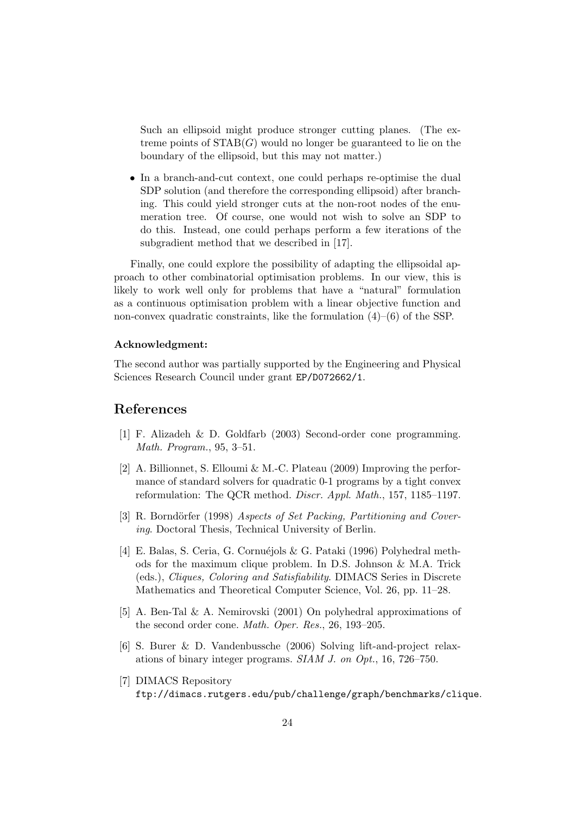Such an ellipsoid might produce stronger cutting planes. (The extreme points of  $STAB(G)$  would no longer be guaranteed to lie on the boundary of the ellipsoid, but this may not matter.)

• In a branch-and-cut context, one could perhaps re-optimise the dual SDP solution (and therefore the corresponding ellipsoid) after branching. This could yield stronger cuts at the non-root nodes of the enumeration tree. Of course, one would not wish to solve an SDP to do this. Instead, one could perhaps perform a few iterations of the subgradient method that we described in [17].

Finally, one could explore the possibility of adapting the ellipsoidal approach to other combinatorial optimisation problems. In our view, this is likely to work well only for problems that have a "natural" formulation as a continuous optimisation problem with a linear objective function and non-convex quadratic constraints, like the formulation  $(4)$ – $(6)$  of the SSP.

#### Acknowledgment:

The second author was partially supported by the Engineering and Physical Sciences Research Council under grant EP/D072662/1.

# References

- [1] F. Alizadeh & D. Goldfarb (2003) Second-order cone programming. Math. Program., 95, 3–51.
- [2] A. Billionnet, S. Elloumi & M.-C. Plateau (2009) Improving the performance of standard solvers for quadratic 0-1 programs by a tight convex reformulation: The QCR method. Discr. Appl. Math., 157, 1185–1197.
- [3] R. Borndörfer (1998) Aspects of Set Packing, Partitioning and Covering. Doctoral Thesis, Technical University of Berlin.
- [4] E. Balas, S. Ceria, G. Cornuéjols & G. Pataki (1996) Polyhedral methods for the maximum clique problem. In D.S. Johnson & M.A. Trick (eds.), Cliques, Coloring and Satisfiability. DIMACS Series in Discrete Mathematics and Theoretical Computer Science, Vol. 26, pp. 11–28.
- [5] A. Ben-Tal & A. Nemirovski (2001) On polyhedral approximations of the second order cone. Math. Oper. Res., 26, 193–205.
- [6] S. Burer & D. Vandenbussche (2006) Solving lift-and-project relaxations of binary integer programs. SIAM J. on Opt., 16, 726–750.
- [7] DIMACS Repository ftp://dimacs.rutgers.edu/pub/challenge/graph/benchmarks/clique.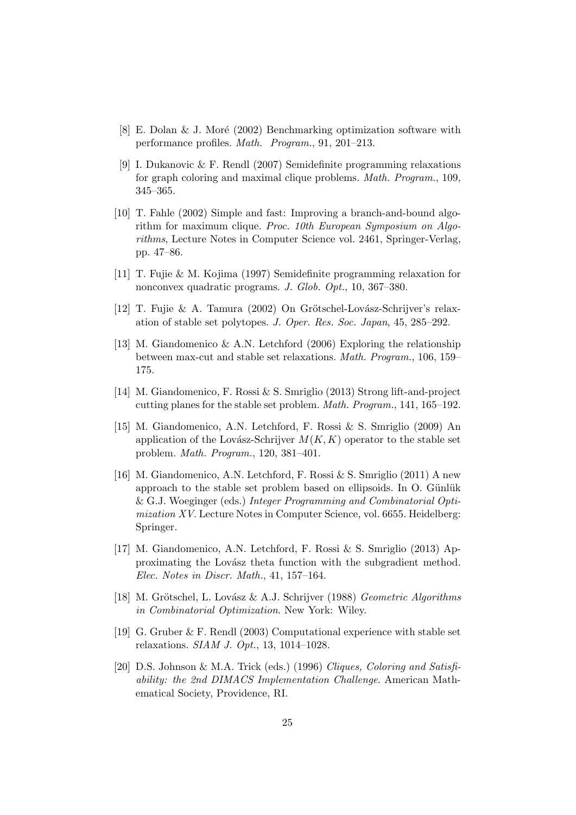- [8] E. Dolan & J. Moré (2002) Benchmarking optimization software with performance profiles. Math. Program., 91, 201–213.
- [9] I. Dukanovic & F. Rendl (2007) Semidefinite programming relaxations for graph coloring and maximal clique problems. Math. Program., 109, 345–365.
- [10] T. Fahle (2002) Simple and fast: Improving a branch-and-bound algorithm for maximum clique. Proc. 10th European Symposium on Algorithms, Lecture Notes in Computer Science vol. 2461, Springer-Verlag, pp. 47–86.
- [11] T. Fujie & M. Kojima (1997) Semidefinite programming relaxation for nonconvex quadratic programs. J. Glob. Opt., 10, 367–380.
- [12] T. Fujie & A. Tamura (2002) On Grötschel-Lovász-Schrijver's relaxation of stable set polytopes. J. Oper. Res. Soc. Japan, 45, 285–292.
- [13] M. Giandomenico & A.N. Letchford (2006) Exploring the relationship between max-cut and stable set relaxations. Math. Program., 106, 159– 175.
- [14] M. Giandomenico, F. Rossi & S. Smriglio (2013) Strong lift-and-project cutting planes for the stable set problem. Math. Program., 141, 165–192.
- [15] M. Giandomenico, A.N. Letchford, F. Rossi & S. Smriglio (2009) An application of the Lovász-Schrijver  $M(K, K)$  operator to the stable set problem. Math. Program., 120, 381–401.
- [16] M. Giandomenico, A.N. Letchford, F. Rossi & S. Smriglio (2011) A new approach to the stable set problem based on ellipsoids. In O. Günlük & G.J. Woeginger (eds.) Integer Programming and Combinatorial Optimization XV. Lecture Notes in Computer Science, vol. 6655. Heidelberg: Springer.
- [17] M. Giandomenico, A.N. Letchford, F. Rossi & S. Smriglio (2013) Approximating the Lovász theta function with the subgradient method. Elec. Notes in Discr. Math., 41, 157–164.
- [18] M. Grötschel, L. Lovász & A.J. Schrijver (1988) Geometric Algorithms in Combinatorial Optimization. New York: Wiley.
- [19] G. Gruber & F. Rendl (2003) Computational experience with stable set relaxations. SIAM J. Opt., 13, 1014–1028.
- [20] D.S. Johnson & M.A. Trick (eds.) (1996) Cliques, Coloring and Satisfiability: the 2nd DIMACS Implementation Challenge. American Mathematical Society, Providence, RI.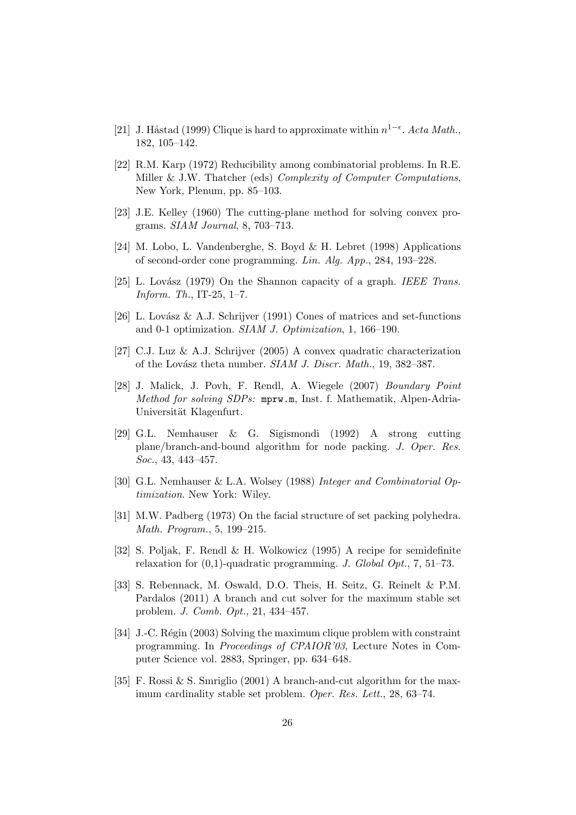- [21] J. Håstad (1999) Clique is hard to approximate within  $n^{1-\epsilon}$ . Acta Math., 182, 105–142.
- [22] R.M. Karp (1972) Reducibility among combinatorial problems. In R.E. Miller & J.W. Thatcher (eds) Complexity of Computer Computations, New York, Plenum, pp. 85–103.
- [23] J.E. Kelley (1960) The cutting-plane method for solving convex programs. SIAM Journal, 8, 703–713.
- [24] M. Lobo, L. Vandenberghe, S. Boyd & H. Lebret (1998) Applications of second-order cone programming. Lin. Alg. App., 284, 193–228.
- [25] L. Lovász (1979) On the Shannon capacity of a graph. *IEEE Trans.* Inform. Th., IT-25, 1–7.
- [26] L. Lovász & A.J. Schrijver (1991) Cones of matrices and set-functions and 0-1 optimization. SIAM J. Optimization, 1, 166–190.
- [27] C.J. Luz & A.J. Schrijver (2005) A convex quadratic characterization of the Lovász theta number. SIAM J. Discr. Math., 19, 382-387.
- [28] J. Malick, J. Povh, F. Rendl, A. Wiegele (2007) Boundary Point Method for solving SDPs: mprw.m, Inst. f. Mathematik, Alpen-Adria-Universität Klagenfurt.
- [29] G.L. Nemhauser & G. Sigismondi (1992) A strong cutting plane/branch-and-bound algorithm for node packing. J. Oper. Res. Soc., 43, 443–457.
- [30] G.L. Nemhauser & L.A. Wolsey (1988) Integer and Combinatorial Optimization. New York: Wiley.
- [31] M.W. Padberg (1973) On the facial structure of set packing polyhedra. Math. Program., 5, 199–215.
- [32] S. Poljak, F. Rendl & H. Wolkowicz (1995) A recipe for semidefinite relaxation for  $(0,1)$ -quadratic programming. J. Global Opt., 7, 51–73.
- [33] S. Rebennack, M. Oswald, D.O. Theis, H. Seitz, G. Reinelt & P.M. Pardalos (2011) A branch and cut solver for the maximum stable set problem. J. Comb. Opt., 21, 434–457.
- [34] J.-C. Régin (2003) Solving the maximum clique problem with constraint programming. In Proceedings of CPAIOR'03, Lecture Notes in Computer Science vol. 2883, Springer, pp. 634–648.
- [35] F. Rossi & S. Smriglio (2001) A branch-and-cut algorithm for the maximum cardinality stable set problem. Oper. Res. Lett., 28, 63–74.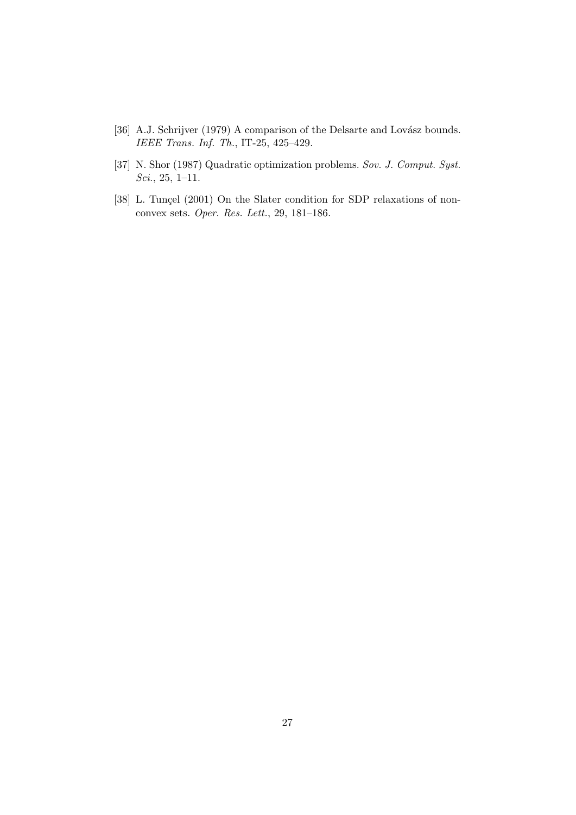- [36] A.J. Schrijver (1979) A comparison of the Delsarte and Lovász bounds. IEEE Trans. Inf. Th., IT-25, 425–429.
- [37] N. Shor (1987) Quadratic optimization problems. Sov. J. Comput. Syst. Sci., 25, 1–11.
- [38] L. Tunçel (2001) On the Slater condition for SDP relaxations of nonconvex sets. Oper. Res. Lett., 29, 181–186.